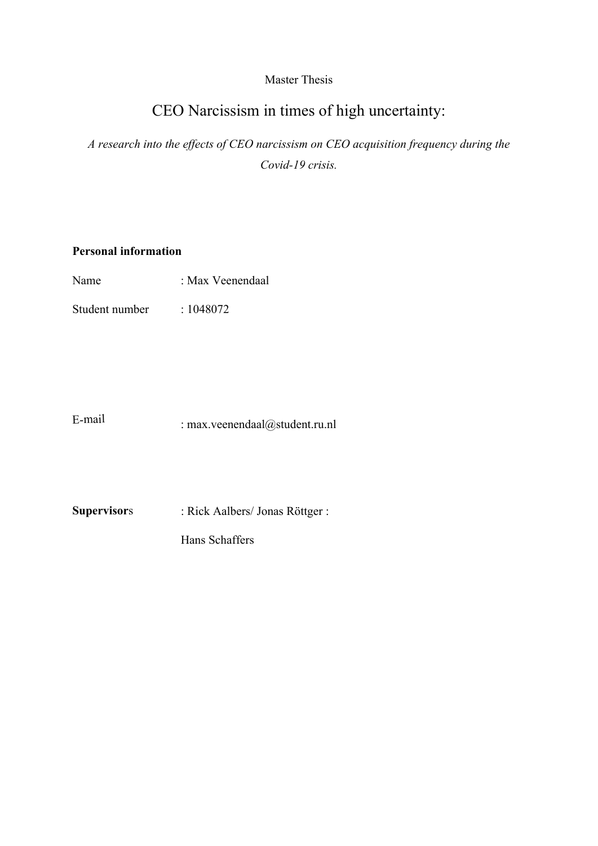# Master Thesis

# CEO Narcissism in times of high uncertainty:

*A research into the effects of CEO narcissism on CEO acquisition frequency during the Covid-19 crisis.* 

# **Personal information**

Student number : 1048072

E-mail : max.veenendaal@student.ru.nl

**Supervisor**s : Rick Aalbers/ Jonas Röttger :

Hans Schaffers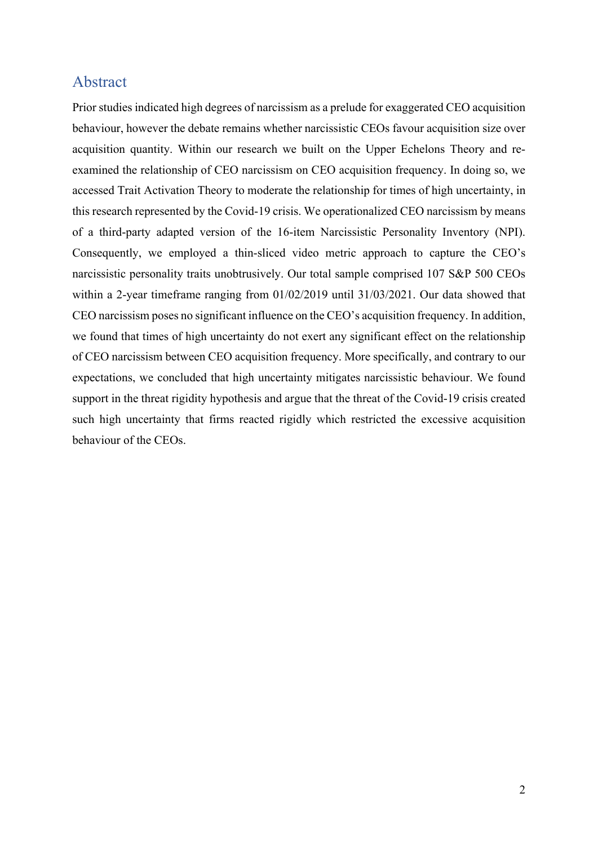# Abstract

Prior studies indicated high degrees of narcissism as a prelude for exaggerated CEO acquisition behaviour, however the debate remains whether narcissistic CEOs favour acquisition size over acquisition quantity. Within our research we built on the Upper Echelons Theory and reexamined the relationship of CEO narcissism on CEO acquisition frequency. In doing so, we accessed Trait Activation Theory to moderate the relationship for times of high uncertainty, in this research represented by the Covid-19 crisis. We operationalized CEO narcissism by means of a third-party adapted version of the 16-item Narcissistic Personality Inventory (NPI). Consequently, we employed a thin-sliced video metric approach to capture the CEO's narcissistic personality traits unobtrusively. Our total sample comprised 107 S&P 500 CEOs within a 2-year timeframe ranging from 01/02/2019 until 31/03/2021. Our data showed that CEO narcissism poses no significant influence on the CEO's acquisition frequency. In addition, we found that times of high uncertainty do not exert any significant effect on the relationship of CEO narcissism between CEO acquisition frequency. More specifically, and contrary to our expectations, we concluded that high uncertainty mitigates narcissistic behaviour. We found support in the threat rigidity hypothesis and argue that the threat of the Covid-19 crisis created such high uncertainty that firms reacted rigidly which restricted the excessive acquisition behaviour of the CEOs.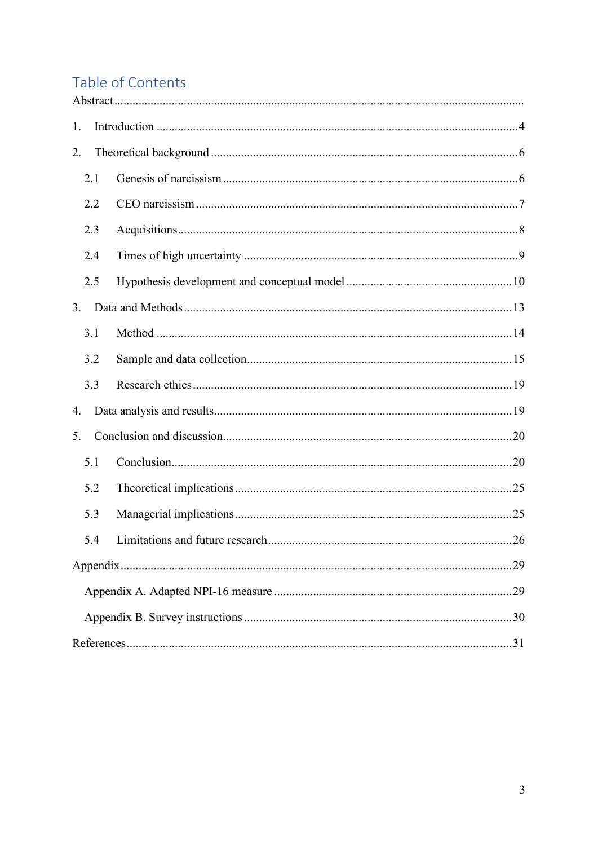# Table of Contents

| 1.  |  |  |  |  |  |  |  |  |  |
|-----|--|--|--|--|--|--|--|--|--|
| 2.  |  |  |  |  |  |  |  |  |  |
| 2.1 |  |  |  |  |  |  |  |  |  |
| 2.2 |  |  |  |  |  |  |  |  |  |
| 2.3 |  |  |  |  |  |  |  |  |  |
| 2.4 |  |  |  |  |  |  |  |  |  |
| 2.5 |  |  |  |  |  |  |  |  |  |
| 3.  |  |  |  |  |  |  |  |  |  |
| 3.1 |  |  |  |  |  |  |  |  |  |
| 3.2 |  |  |  |  |  |  |  |  |  |
| 3.3 |  |  |  |  |  |  |  |  |  |
| 4.  |  |  |  |  |  |  |  |  |  |
| 5.  |  |  |  |  |  |  |  |  |  |
| 5.1 |  |  |  |  |  |  |  |  |  |
| 5.2 |  |  |  |  |  |  |  |  |  |
| 5.3 |  |  |  |  |  |  |  |  |  |
| 5.4 |  |  |  |  |  |  |  |  |  |
|     |  |  |  |  |  |  |  |  |  |
|     |  |  |  |  |  |  |  |  |  |
|     |  |  |  |  |  |  |  |  |  |
|     |  |  |  |  |  |  |  |  |  |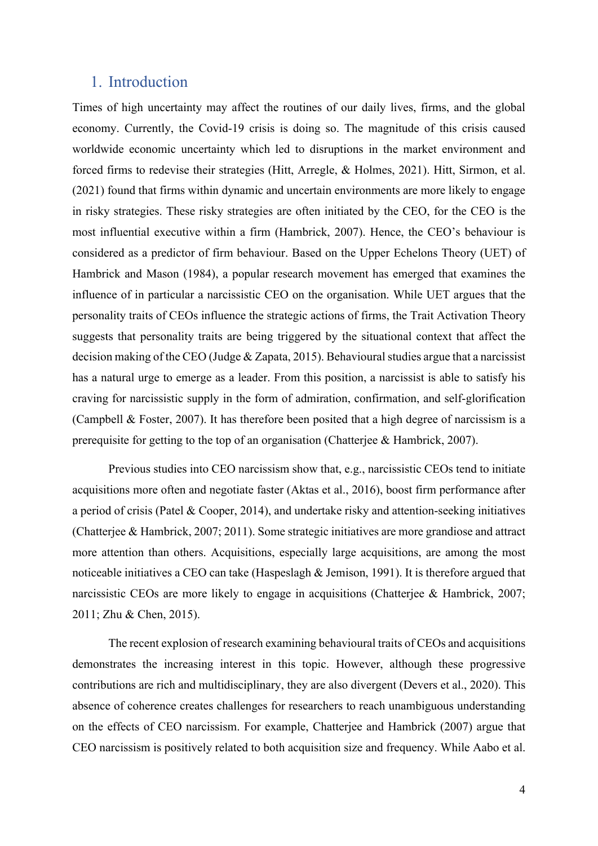## 1. Introduction

Times of high uncertainty may affect the routines of our daily lives, firms, and the global economy. Currently, the Covid-19 crisis is doing so. The magnitude of this crisis caused worldwide economic uncertainty which led to disruptions in the market environment and forced firms to redevise their strategies (Hitt, Arregle, & Holmes, 2021). Hitt, Sirmon, et al. (2021) found that firms within dynamic and uncertain environments are more likely to engage in risky strategies. These risky strategies are often initiated by the CEO, for the CEO is the most influential executive within a firm (Hambrick, 2007). Hence, the CEO's behaviour is considered as a predictor of firm behaviour. Based on the Upper Echelons Theory (UET) of Hambrick and Mason (1984), a popular research movement has emerged that examines the influence of in particular a narcissistic CEO on the organisation. While UET argues that the personality traits of CEOs influence the strategic actions of firms, the Trait Activation Theory suggests that personality traits are being triggered by the situational context that affect the decision making of the CEO (Judge & Zapata, 2015). Behavioural studies argue that a narcissist has a natural urge to emerge as a leader. From this position, a narcissist is able to satisfy his craving for narcissistic supply in the form of admiration, confirmation, and self-glorification (Campbell & Foster, 2007). It has therefore been posited that a high degree of narcissism is a prerequisite for getting to the top of an organisation (Chatterjee & Hambrick, 2007).

Previous studies into CEO narcissism show that, e.g., narcissistic CEOs tend to initiate acquisitions more often and negotiate faster (Aktas et al., 2016), boost firm performance after a period of crisis (Patel & Cooper, 2014), and undertake risky and attention-seeking initiatives (Chatterjee & Hambrick, 2007; 2011). Some strategic initiatives are more grandiose and attract more attention than others. Acquisitions, especially large acquisitions, are among the most noticeable initiatives a CEO can take (Haspeslagh & Jemison, 1991). It is therefore argued that narcissistic CEOs are more likely to engage in acquisitions (Chatterjee & Hambrick, 2007; 2011; Zhu & Chen, 2015).

The recent explosion of research examining behavioural traits of CEOs and acquisitions demonstrates the increasing interest in this topic. However, although these progressive contributions are rich and multidisciplinary, they are also divergent (Devers et al., 2020). This absence of coherence creates challenges for researchers to reach unambiguous understanding on the effects of CEO narcissism. For example, Chatterjee and Hambrick (2007) argue that CEO narcissism is positively related to both acquisition size and frequency. While Aabo et al.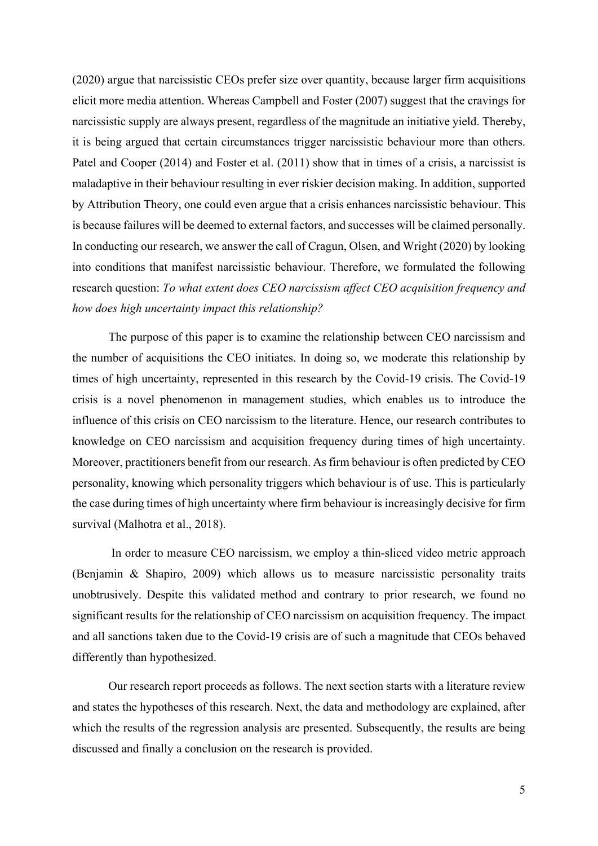(2020) argue that narcissistic CEOs prefer size over quantity, because larger firm acquisitions elicit more media attention. Whereas Campbell and Foster (2007) suggest that the cravings for narcissistic supply are always present, regardless of the magnitude an initiative yield. Thereby, it is being argued that certain circumstances trigger narcissistic behaviour more than others. Patel and Cooper (2014) and Foster et al. (2011) show that in times of a crisis, a narcissist is maladaptive in their behaviour resulting in ever riskier decision making. In addition, supported by Attribution Theory, one could even argue that a crisis enhances narcissistic behaviour. This is because failures will be deemed to external factors, and successes will be claimed personally. In conducting our research, we answer the call of Cragun, Olsen, and Wright (2020) by looking into conditions that manifest narcissistic behaviour. Therefore, we formulated the following research question: *To what extent does CEO narcissism affect CEO acquisition frequency and how does high uncertainty impact this relationship?* 

The purpose of this paper is to examine the relationship between CEO narcissism and the number of acquisitions the CEO initiates. In doing so, we moderate this relationship by times of high uncertainty, represented in this research by the Covid-19 crisis. The Covid-19 crisis is a novel phenomenon in management studies, which enables us to introduce the influence of this crisis on CEO narcissism to the literature. Hence, our research contributes to knowledge on CEO narcissism and acquisition frequency during times of high uncertainty. Moreover, practitioners benefit from our research. As firm behaviour is often predicted by CEO personality, knowing which personality triggers which behaviour is of use. This is particularly the case during times of high uncertainty where firm behaviour is increasingly decisive for firm survival (Malhotra et al., 2018).

 In order to measure CEO narcissism, we employ a thin-sliced video metric approach (Benjamin & Shapiro, 2009) which allows us to measure narcissistic personality traits unobtrusively. Despite this validated method and contrary to prior research, we found no significant results for the relationship of CEO narcissism on acquisition frequency. The impact and all sanctions taken due to the Covid-19 crisis are of such a magnitude that CEOs behaved differently than hypothesized.

Our research report proceeds as follows. The next section starts with a literature review and states the hypotheses of this research. Next, the data and methodology are explained, after which the results of the regression analysis are presented. Subsequently, the results are being discussed and finally a conclusion on the research is provided.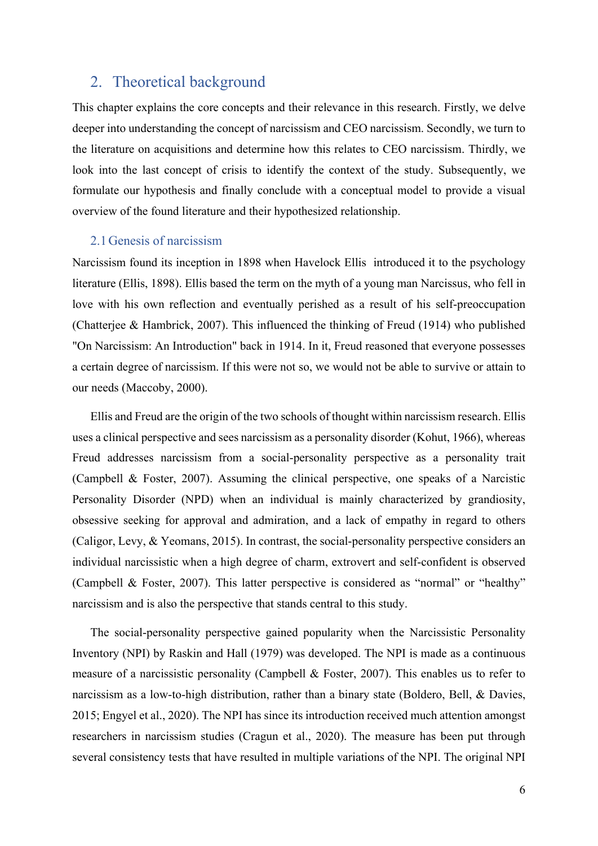# 2. Theoretical background

This chapter explains the core concepts and their relevance in this research. Firstly, we delve deeper into understanding the concept of narcissism and CEO narcissism. Secondly, we turn to the literature on acquisitions and determine how this relates to CEO narcissism. Thirdly, we look into the last concept of crisis to identify the context of the study. Subsequently, we formulate our hypothesis and finally conclude with a conceptual model to provide a visual overview of the found literature and their hypothesized relationship.

### 2.1Genesis of narcissism

Narcissism found its inception in 1898 when Havelock Ellis introduced it to the psychology literature (Ellis, 1898). Ellis based the term on the myth of a young man Narcissus, who fell in love with his own reflection and eventually perished as a result of his self-preoccupation (Chatterjee & Hambrick, 2007). This influenced the thinking of Freud (1914) who published "On Narcissism: An Introduction" back in 1914. In it, Freud reasoned that everyone possesses a certain degree of narcissism. If this were not so, we would not be able to survive or attain to our needs (Maccoby, 2000).

Ellis and Freud are the origin of the two schools of thought within narcissism research. Ellis uses a clinical perspective and sees narcissism as a personality disorder (Kohut, 1966), whereas Freud addresses narcissism from a social-personality perspective as a personality trait (Campbell & Foster, 2007). Assuming the clinical perspective, one speaks of a Narcistic Personality Disorder (NPD) when an individual is mainly characterized by grandiosity, obsessive seeking for approval and admiration, and a lack of empathy in regard to others (Caligor, Levy, & Yeomans, 2015). In contrast, the social-personality perspective considers an individual narcissistic when a high degree of charm, extrovert and self-confident is observed (Campbell & Foster, 2007). This latter perspective is considered as "normal" or "healthy" narcissism and is also the perspective that stands central to this study.

The social-personality perspective gained popularity when the Narcissistic Personality Inventory (NPI) by Raskin and Hall (1979) was developed. The NPI is made as a continuous measure of a narcissistic personality (Campbell & Foster, 2007). This enables us to refer to narcissism as a low-to-high distribution, rather than a binary state (Boldero, Bell, & Davies, 2015; Engyel et al., 2020). The NPI has since its introduction received much attention amongst researchers in narcissism studies (Cragun et al., 2020). The measure has been put through several consistency tests that have resulted in multiple variations of the NPI. The original NPI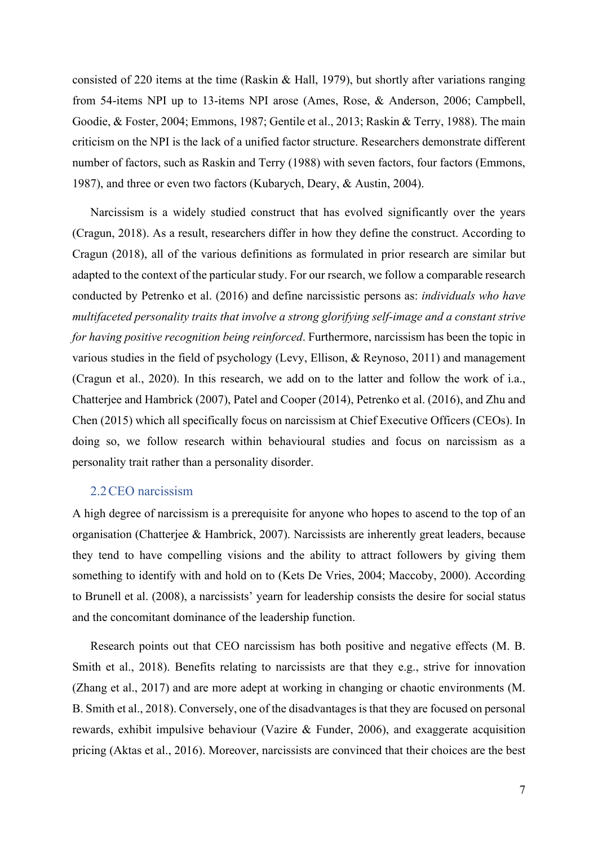consisted of 220 items at the time (Raskin & Hall, 1979), but shortly after variations ranging from 54-items NPI up to 13-items NPI arose (Ames, Rose, & Anderson, 2006; Campbell, Goodie, & Foster, 2004; Emmons, 1987; Gentile et al., 2013; Raskin & Terry, 1988). The main criticism on the NPI is the lack of a unified factor structure. Researchers demonstrate different number of factors, such as Raskin and Terry (1988) with seven factors, four factors (Emmons, 1987), and three or even two factors (Kubarych, Deary, & Austin, 2004).

Narcissism is a widely studied construct that has evolved significantly over the years (Cragun, 2018). As a result, researchers differ in how they define the construct. According to Cragun (2018), all of the various definitions as formulated in prior research are similar but adapted to the context of the particular study. For our rsearch, we follow a comparable research conducted by Petrenko et al. (2016) and define narcissistic persons as: *individuals who have multifaceted personality traits that involve a strong glorifying self-image and a constant strive for having positive recognition being reinforced*. Furthermore, narcissism has been the topic in various studies in the field of psychology (Levy, Ellison, & Reynoso, 2011) and management (Cragun et al., 2020). In this research, we add on to the latter and follow the work of i.a., Chatterjee and Hambrick (2007), Patel and Cooper (2014), Petrenko et al. (2016), and Zhu and Chen (2015) which all specifically focus on narcissism at Chief Executive Officers (CEOs). In doing so, we follow research within behavioural studies and focus on narcissism as a personality trait rather than a personality disorder.

### 2.2CEO narcissism

A high degree of narcissism is a prerequisite for anyone who hopes to ascend to the top of an organisation (Chatterjee & Hambrick, 2007). Narcissists are inherently great leaders, because they tend to have compelling visions and the ability to attract followers by giving them something to identify with and hold on to (Kets De Vries, 2004; Maccoby, 2000). According to Brunell et al. (2008), a narcissists' yearn for leadership consists the desire for social status and the concomitant dominance of the leadership function.

Research points out that CEO narcissism has both positive and negative effects (M. B. Smith et al., 2018). Benefits relating to narcissists are that they e.g., strive for innovation (Zhang et al., 2017) and are more adept at working in changing or chaotic environments (M. B. Smith et al., 2018). Conversely, one of the disadvantages is that they are focused on personal rewards, exhibit impulsive behaviour (Vazire & Funder, 2006), and exaggerate acquisition pricing (Aktas et al., 2016). Moreover, narcissists are convinced that their choices are the best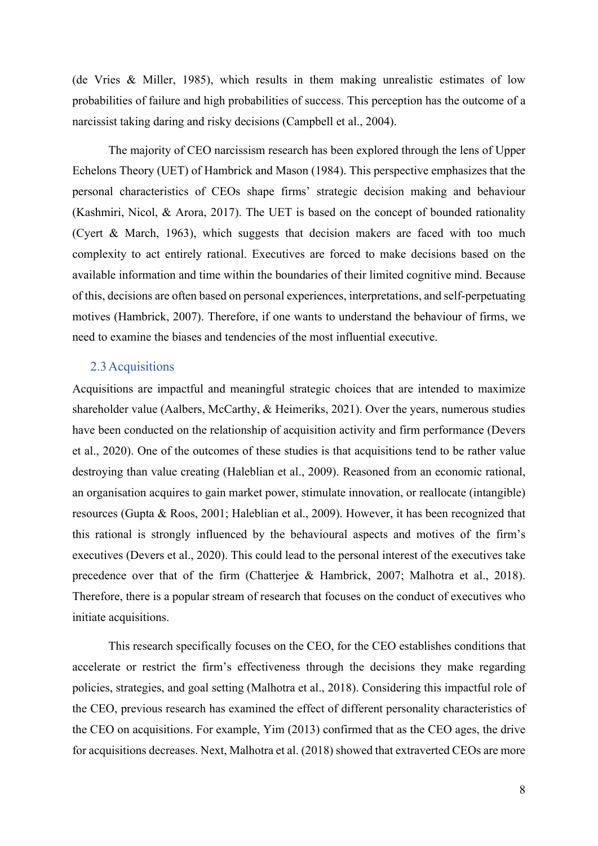(de Vries & Miller, 1985), which results in them making unrealistic estimates of low probabilities of failure and high probabilities of success. This perception has the outcome of a narcissist taking daring and risky decisions (Campbell et al., 2004).

The majority of CEO narcissism research has been explored through the lens of Upper Echelons Theory (UET) of Hambrick and Mason (1984). This perspective emphasizes that the personal characteristics of CEOs shape firms' strategic decision making and behaviour (Kashmiri, Nicol, & Arora, 2017). The UET is based on the concept of bounded rationality (Cyert & March, 1963), which suggests that decision makers are faced with too much complexity to act entirely rational. Executives are forced to make decisions based on the available information and time within the boundaries of their limited cognitive mind. Because of this, decisions are often based on personal experiences, interpretations, and self-perpetuating motives (Hambrick, 2007). Therefore, if one wants to understand the behaviour of firms, we need to examine the biases and tendencies of the most influential executive.

#### 2.3Acquisitions

Acquisitions are impactful and meaningful strategic choices that are intended to maximize shareholder value (Aalbers, McCarthy, & Heimeriks, 2021). Over the years, numerous studies have been conducted on the relationship of acquisition activity and firm performance (Devers et al., 2020). One of the outcomes of these studies is that acquisitions tend to be rather value destroying than value creating (Haleblian et al., 2009). Reasoned from an economic rational, an organisation acquires to gain market power, stimulate innovation, or reallocate (intangible) resources (Gupta & Roos, 2001; Haleblian et al., 2009). However, it has been recognized that this rational is strongly influenced by the behavioural aspects and motives of the firm's executives (Devers et al., 2020). This could lead to the personal interest of the executives take precedence over that of the firm (Chatterjee & Hambrick, 2007; Malhotra et al., 2018). Therefore, there is a popular stream of research that focuses on the conduct of executives who initiate acquisitions.

This research specifically focuses on the CEO, for the CEO establishes conditions that accelerate or restrict the firm's effectiveness through the decisions they make regarding policies, strategies, and goal setting (Malhotra et al., 2018). Considering this impactful role of the CEO, previous research has examined the effect of different personality characteristics of the CEO on acquisitions. For example, Yim (2013) confirmed that as the CEO ages, the drive for acquisitions decreases. Next, Malhotra et al. (2018) showed that extraverted CEOs are more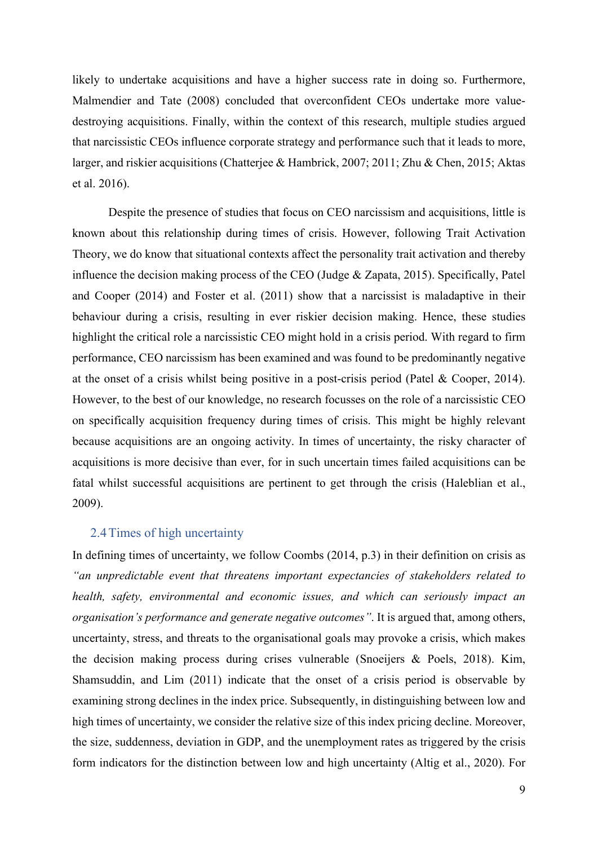likely to undertake acquisitions and have a higher success rate in doing so. Furthermore, Malmendier and Tate (2008) concluded that overconfident CEOs undertake more valuedestroying acquisitions. Finally, within the context of this research, multiple studies argued that narcissistic CEOs influence corporate strategy and performance such that it leads to more, larger, and riskier acquisitions (Chatterjee & Hambrick, 2007; 2011; Zhu & Chen, 2015; Aktas et al. 2016).

Despite the presence of studies that focus on CEO narcissism and acquisitions, little is known about this relationship during times of crisis. However, following Trait Activation Theory, we do know that situational contexts affect the personality trait activation and thereby influence the decision making process of the CEO (Judge & Zapata, 2015). Specifically, Patel and Cooper (2014) and Foster et al. (2011) show that a narcissist is maladaptive in their behaviour during a crisis, resulting in ever riskier decision making. Hence, these studies highlight the critical role a narcissistic CEO might hold in a crisis period. With regard to firm performance, CEO narcissism has been examined and was found to be predominantly negative at the onset of a crisis whilst being positive in a post-crisis period (Patel & Cooper, 2014). However, to the best of our knowledge, no research focusses on the role of a narcissistic CEO on specifically acquisition frequency during times of crisis. This might be highly relevant because acquisitions are an ongoing activity. In times of uncertainty, the risky character of acquisitions is more decisive than ever, for in such uncertain times failed acquisitions can be fatal whilst successful acquisitions are pertinent to get through the crisis (Haleblian et al., 2009).

### 2.4Times of high uncertainty

In defining times of uncertainty, we follow Coombs (2014, p.3) in their definition on crisis as *"an unpredictable event that threatens important expectancies of stakeholders related to health, safety, environmental and economic issues, and which can seriously impact an organisation's performance and generate negative outcomes"*. It is argued that, among others, uncertainty, stress, and threats to the organisational goals may provoke a crisis, which makes the decision making process during crises vulnerable (Snoeijers & Poels, 2018). Kim, Shamsuddin, and Lim (2011) indicate that the onset of a crisis period is observable by examining strong declines in the index price. Subsequently, in distinguishing between low and high times of uncertainty, we consider the relative size of this index pricing decline. Moreover, the size, suddenness, deviation in GDP, and the unemployment rates as triggered by the crisis form indicators for the distinction between low and high uncertainty (Altig et al., 2020). For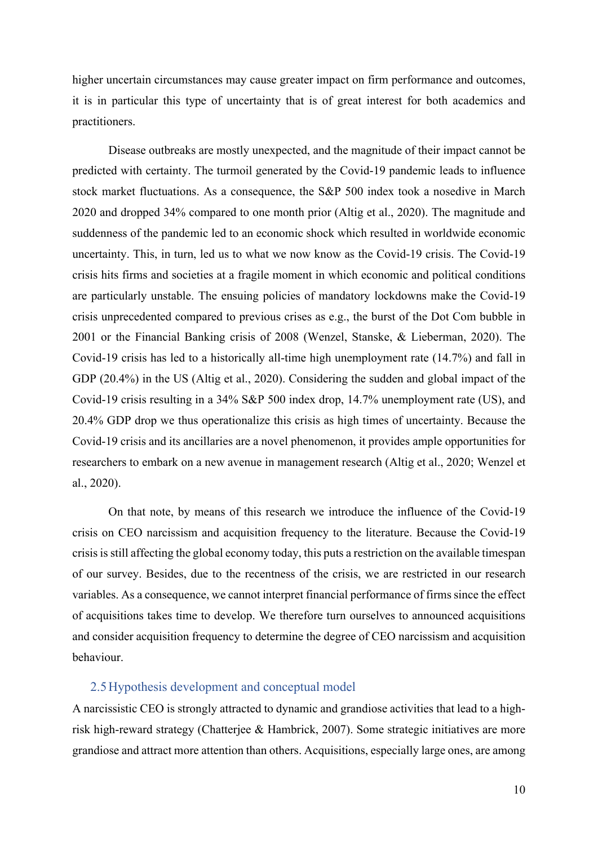higher uncertain circumstances may cause greater impact on firm performance and outcomes, it is in particular this type of uncertainty that is of great interest for both academics and practitioners.

Disease outbreaks are mostly unexpected, and the magnitude of their impact cannot be predicted with certainty. The turmoil generated by the Covid-19 pandemic leads to influence stock market fluctuations. As a consequence, the S&P 500 index took a nosedive in March 2020 and dropped 34% compared to one month prior (Altig et al., 2020). The magnitude and suddenness of the pandemic led to an economic shock which resulted in worldwide economic uncertainty. This, in turn, led us to what we now know as the Covid-19 crisis. The Covid-19 crisis hits firms and societies at a fragile moment in which economic and political conditions are particularly unstable. The ensuing policies of mandatory lockdowns make the Covid-19 crisis unprecedented compared to previous crises as e.g., the burst of the Dot Com bubble in 2001 or the Financial Banking crisis of 2008 (Wenzel, Stanske, & Lieberman, 2020). The Covid-19 crisis has led to a historically all-time high unemployment rate (14.7%) and fall in GDP (20.4%) in the US (Altig et al., 2020). Considering the sudden and global impact of the Covid-19 crisis resulting in a 34% S&P 500 index drop, 14.7% unemployment rate (US), and 20.4% GDP drop we thus operationalize this crisis as high times of uncertainty. Because the Covid-19 crisis and its ancillaries are a novel phenomenon, it provides ample opportunities for researchers to embark on a new avenue in management research (Altig et al., 2020; Wenzel et al., 2020).

On that note, by means of this research we introduce the influence of the Covid-19 crisis on CEO narcissism and acquisition frequency to the literature. Because the Covid-19 crisis is still affecting the global economy today, this puts a restriction on the available timespan of our survey. Besides, due to the recentness of the crisis, we are restricted in our research variables. As a consequence, we cannot interpret financial performance of firms since the effect of acquisitions takes time to develop. We therefore turn ourselves to announced acquisitions and consider acquisition frequency to determine the degree of CEO narcissism and acquisition behaviour.

### 2.5Hypothesis development and conceptual model

A narcissistic CEO is strongly attracted to dynamic and grandiose activities that lead to a highrisk high-reward strategy (Chatterjee & Hambrick, 2007). Some strategic initiatives are more grandiose and attract more attention than others. Acquisitions, especially large ones, are among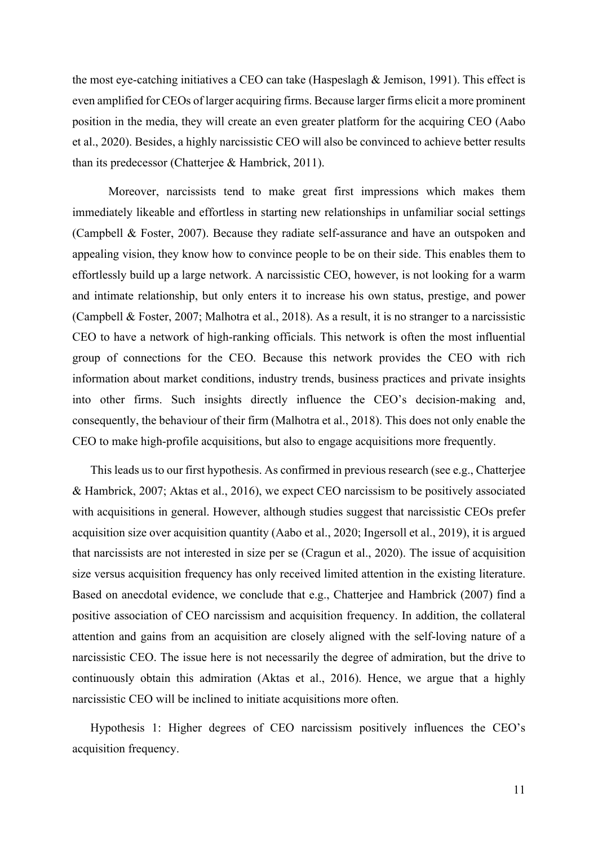the most eye-catching initiatives a CEO can take (Haspeslagh & Jemison, 1991). This effect is even amplified for CEOs of larger acquiring firms. Because larger firms elicit a more prominent position in the media, they will create an even greater platform for the acquiring CEO (Aabo et al., 2020). Besides, a highly narcissistic CEO will also be convinced to achieve better results than its predecessor (Chatterjee & Hambrick, 2011).

Moreover, narcissists tend to make great first impressions which makes them immediately likeable and effortless in starting new relationships in unfamiliar social settings (Campbell & Foster, 2007). Because they radiate self-assurance and have an outspoken and appealing vision, they know how to convince people to be on their side. This enables them to effortlessly build up a large network. A narcissistic CEO, however, is not looking for a warm and intimate relationship, but only enters it to increase his own status, prestige, and power (Campbell & Foster, 2007; Malhotra et al., 2018). As a result, it is no stranger to a narcissistic CEO to have a network of high-ranking officials. This network is often the most influential group of connections for the CEO. Because this network provides the CEO with rich information about market conditions, industry trends, business practices and private insights into other firms. Such insights directly influence the CEO's decision-making and, consequently, the behaviour of their firm (Malhotra et al., 2018). This does not only enable the CEO to make high-profile acquisitions, but also to engage acquisitions more frequently.

This leads us to our first hypothesis. As confirmed in previous research (see e.g., Chatterjee & Hambrick, 2007; Aktas et al., 2016), we expect CEO narcissism to be positively associated with acquisitions in general. However, although studies suggest that narcissistic CEOs prefer acquisition size over acquisition quantity (Aabo et al., 2020; Ingersoll et al., 2019), it is argued that narcissists are not interested in size per se (Cragun et al., 2020). The issue of acquisition size versus acquisition frequency has only received limited attention in the existing literature. Based on anecdotal evidence, we conclude that e.g., Chatterjee and Hambrick (2007) find a positive association of CEO narcissism and acquisition frequency. In addition, the collateral attention and gains from an acquisition are closely aligned with the self-loving nature of a narcissistic CEO. The issue here is not necessarily the degree of admiration, but the drive to continuously obtain this admiration (Aktas et al., 2016). Hence, we argue that a highly narcissistic CEO will be inclined to initiate acquisitions more often.

Hypothesis 1: Higher degrees of CEO narcissism positively influences the CEO's acquisition frequency.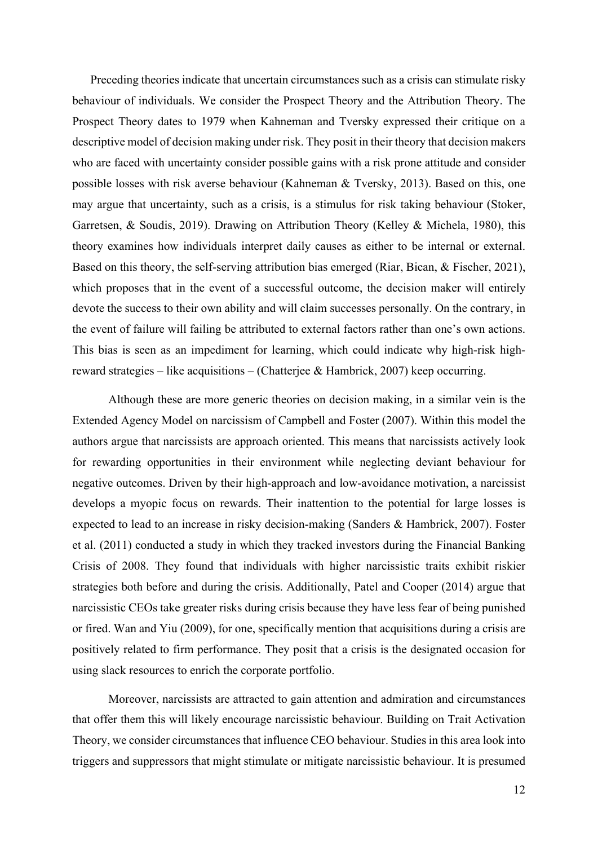Preceding theories indicate that uncertain circumstances such as a crisis can stimulate risky behaviour of individuals. We consider the Prospect Theory and the Attribution Theory. The Prospect Theory dates to 1979 when Kahneman and Tversky expressed their critique on a descriptive model of decision making under risk. They posit in their theory that decision makers who are faced with uncertainty consider possible gains with a risk prone attitude and consider possible losses with risk averse behaviour (Kahneman & Tversky, 2013). Based on this, one may argue that uncertainty, such as a crisis, is a stimulus for risk taking behaviour (Stoker, Garretsen, & Soudis, 2019). Drawing on Attribution Theory (Kelley & Michela, 1980), this theory examines how individuals interpret daily causes as either to be internal or external. Based on this theory, the self-serving attribution bias emerged (Riar, Bican, & Fischer, 2021), which proposes that in the event of a successful outcome, the decision maker will entirely devote the success to their own ability and will claim successes personally. On the contrary, in the event of failure will failing be attributed to external factors rather than one's own actions. This bias is seen as an impediment for learning, which could indicate why high-risk highreward strategies – like acquisitions – (Chatterjee & Hambrick, 2007) keep occurring.

Although these are more generic theories on decision making, in a similar vein is the Extended Agency Model on narcissism of Campbell and Foster (2007). Within this model the authors argue that narcissists are approach oriented. This means that narcissists actively look for rewarding opportunities in their environment while neglecting deviant behaviour for negative outcomes. Driven by their high-approach and low-avoidance motivation, a narcissist develops a myopic focus on rewards. Their inattention to the potential for large losses is expected to lead to an increase in risky decision-making (Sanders & Hambrick, 2007). Foster et al. (2011) conducted a study in which they tracked investors during the Financial Banking Crisis of 2008. They found that individuals with higher narcissistic traits exhibit riskier strategies both before and during the crisis. Additionally, Patel and Cooper (2014) argue that narcissistic CEOs take greater risks during crisis because they have less fear of being punished or fired. Wan and Yiu (2009), for one, specifically mention that acquisitions during a crisis are positively related to firm performance. They posit that a crisis is the designated occasion for using slack resources to enrich the corporate portfolio.

Moreover, narcissists are attracted to gain attention and admiration and circumstances that offer them this will likely encourage narcissistic behaviour. Building on Trait Activation Theory, we consider circumstances that influence CEO behaviour. Studies in this area look into triggers and suppressors that might stimulate or mitigate narcissistic behaviour. It is presumed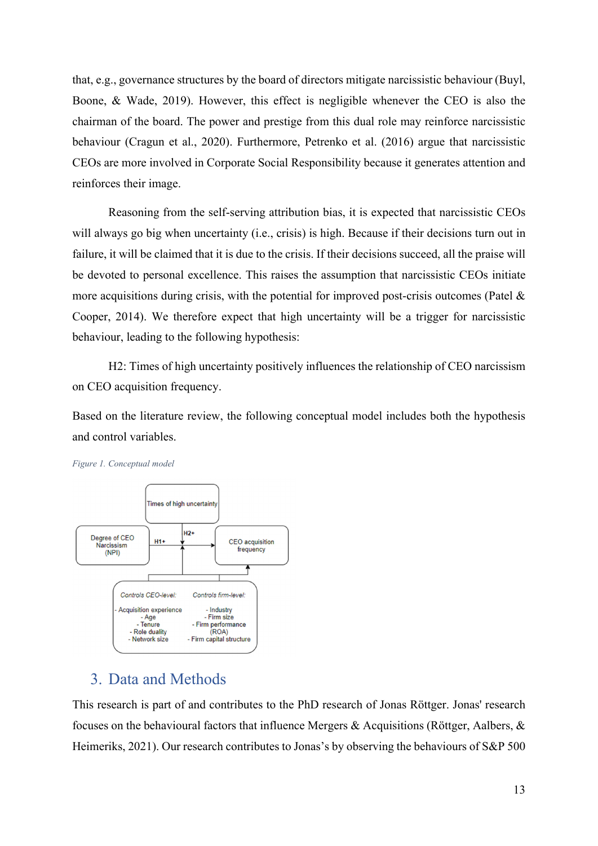that, e.g., governance structures by the board of directors mitigate narcissistic behaviour (Buyl, Boone, & Wade, 2019). However, this effect is negligible whenever the CEO is also the chairman of the board. The power and prestige from this dual role may reinforce narcissistic behaviour (Cragun et al., 2020). Furthermore, Petrenko et al. (2016) argue that narcissistic CEOs are more involved in Corporate Social Responsibility because it generates attention and reinforces their image.

Reasoning from the self-serving attribution bias, it is expected that narcissistic CEOs will always go big when uncertainty (i.e., crisis) is high. Because if their decisions turn out in failure, it will be claimed that it is due to the crisis. If their decisions succeed, all the praise will be devoted to personal excellence. This raises the assumption that narcissistic CEOs initiate more acquisitions during crisis, with the potential for improved post-crisis outcomes (Patel  $\&$ Cooper, 2014). We therefore expect that high uncertainty will be a trigger for narcissistic behaviour, leading to the following hypothesis:

H2: Times of high uncertainty positively influences the relationship of CEO narcissism on CEO acquisition frequency.

Based on the literature review, the following conceptual model includes both the hypothesis and control variables.



*Figure 1. Conceptual model* 

# 3. Data and Methods

This research is part of and contributes to the PhD research of Jonas Röttger. Jonas' research focuses on the behavioural factors that influence Mergers & Acquisitions (Röttger, Aalbers, & Heimeriks, 2021). Our research contributes to Jonas's by observing the behaviours of S&P 500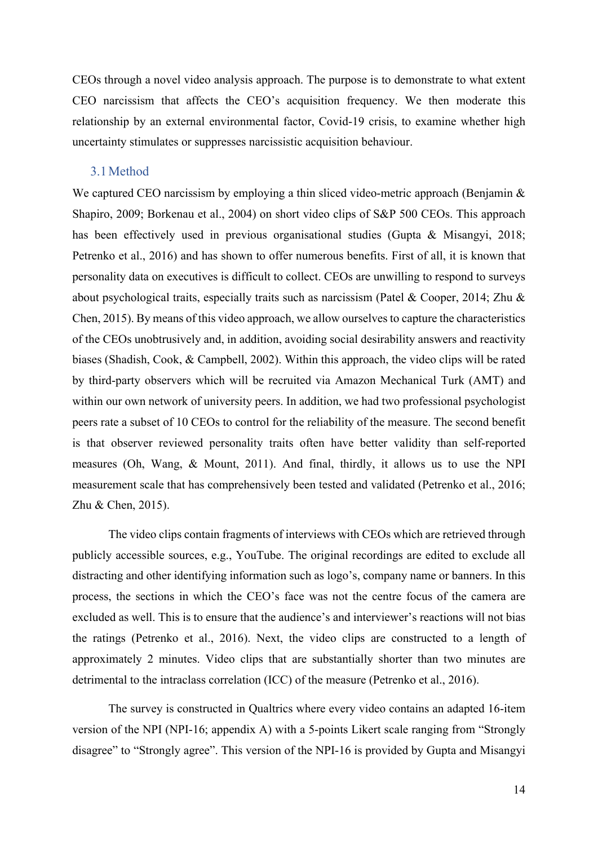CEOs through a novel video analysis approach. The purpose is to demonstrate to what extent CEO narcissism that affects the CEO's acquisition frequency. We then moderate this relationship by an external environmental factor, Covid-19 crisis, to examine whether high uncertainty stimulates or suppresses narcissistic acquisition behaviour.

### 3.1Method

We captured CEO narcissism by employing a thin sliced video-metric approach (Benjamin & Shapiro, 2009; Borkenau et al., 2004) on short video clips of S&P 500 CEOs. This approach has been effectively used in previous organisational studies (Gupta & Misangyi, 2018; Petrenko et al., 2016) and has shown to offer numerous benefits. First of all, it is known that personality data on executives is difficult to collect. CEOs are unwilling to respond to surveys about psychological traits, especially traits such as narcissism (Patel & Cooper, 2014; Zhu & Chen, 2015). By means of this video approach, we allow ourselves to capture the characteristics of the CEOs unobtrusively and, in addition, avoiding social desirability answers and reactivity biases (Shadish, Cook, & Campbell, 2002). Within this approach, the video clips will be rated by third-party observers which will be recruited via Amazon Mechanical Turk (AMT) and within our own network of university peers. In addition, we had two professional psychologist peers rate a subset of 10 CEOs to control for the reliability of the measure. The second benefit is that observer reviewed personality traits often have better validity than self-reported measures (Oh, Wang, & Mount, 2011). And final, thirdly, it allows us to use the NPI measurement scale that has comprehensively been tested and validated (Petrenko et al., 2016; Zhu & Chen, 2015).

The video clips contain fragments of interviews with CEOs which are retrieved through publicly accessible sources, e.g., YouTube. The original recordings are edited to exclude all distracting and other identifying information such as logo's, company name or banners. In this process, the sections in which the CEO's face was not the centre focus of the camera are excluded as well. This is to ensure that the audience's and interviewer's reactions will not bias the ratings (Petrenko et al., 2016). Next, the video clips are constructed to a length of approximately 2 minutes. Video clips that are substantially shorter than two minutes are detrimental to the intraclass correlation (ICC) of the measure (Petrenko et al., 2016).

 The survey is constructed in Qualtrics where every video contains an adapted 16-item version of the NPI (NPI-16; appendix A) with a 5-points Likert scale ranging from "Strongly disagree" to "Strongly agree". This version of the NPI-16 is provided by Gupta and Misangyi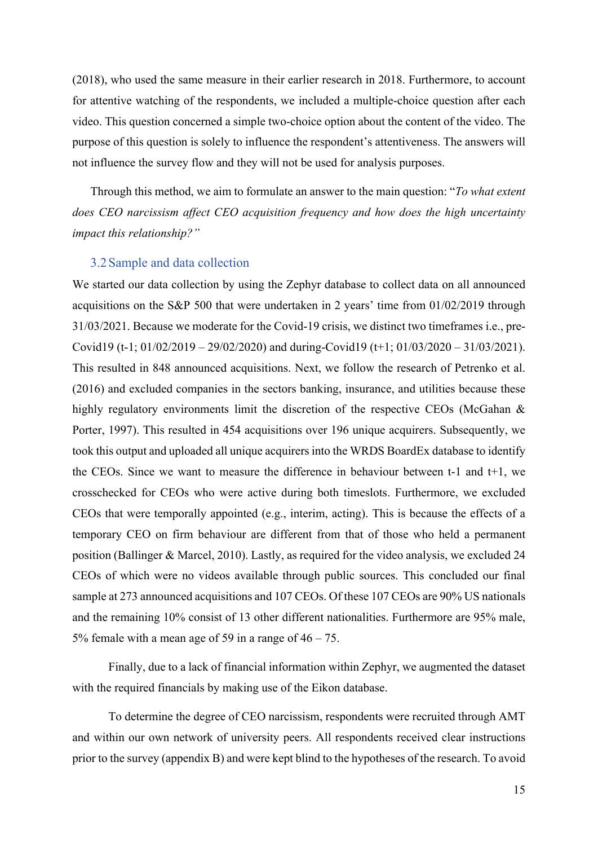(2018), who used the same measure in their earlier research in 2018. Furthermore, to account for attentive watching of the respondents, we included a multiple-choice question after each video. This question concerned a simple two-choice option about the content of the video. The purpose of this question is solely to influence the respondent's attentiveness. The answers will not influence the survey flow and they will not be used for analysis purposes.

Through this method, we aim to formulate an answer to the main question: "*To what extent does CEO narcissism affect CEO acquisition frequency and how does the high uncertainty impact this relationship?"* 

#### 3.2Sample and data collection

We started our data collection by using the Zephyr database to collect data on all announced acquisitions on the S&P 500 that were undertaken in 2 years' time from 01/02/2019 through 31/03/2021. Because we moderate for the Covid-19 crisis, we distinct two timeframes i.e., pre-Covid19 (t-1; 01/02/2019 – 29/02/2020) and during-Covid19 (t+1; 01/03/2020 – 31/03/2021). This resulted in 848 announced acquisitions. Next, we follow the research of Petrenko et al. (2016) and excluded companies in the sectors banking, insurance, and utilities because these highly regulatory environments limit the discretion of the respective CEOs (McGahan & Porter, 1997). This resulted in 454 acquisitions over 196 unique acquirers. Subsequently, we took this output and uploaded all unique acquirers into the WRDS BoardEx database to identify the CEOs. Since we want to measure the difference in behaviour between t-1 and t+1, we crosschecked for CEOs who were active during both timeslots. Furthermore, we excluded CEOs that were temporally appointed (e.g., interim, acting). This is because the effects of a temporary CEO on firm behaviour are different from that of those who held a permanent position (Ballinger & Marcel, 2010). Lastly, as required for the video analysis, we excluded 24 CEOs of which were no videos available through public sources. This concluded our final sample at 273 announced acquisitions and 107 CEOs. Of these 107 CEOs are 90% US nationals and the remaining 10% consist of 13 other different nationalities. Furthermore are 95% male, 5% female with a mean age of 59 in a range of  $46 - 75$ .

Finally, due to a lack of financial information within Zephyr, we augmented the dataset with the required financials by making use of the Eikon database.

To determine the degree of CEO narcissism, respondents were recruited through AMT and within our own network of university peers. All respondents received clear instructions prior to the survey (appendix B) and were kept blind to the hypotheses of the research. To avoid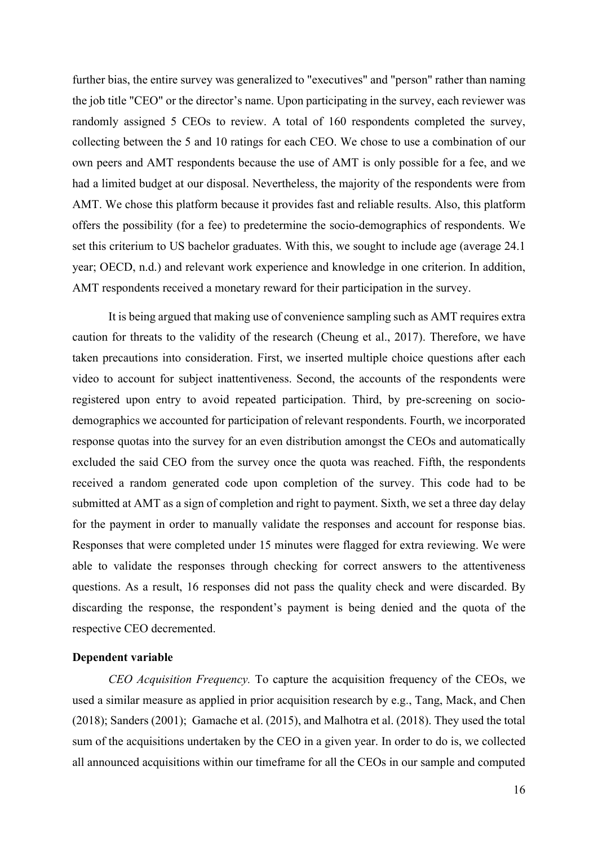further bias, the entire survey was generalized to "executives" and "person" rather than naming the job title "CEO" or the director's name. Upon participating in the survey, each reviewer was randomly assigned 5 CEOs to review. A total of 160 respondents completed the survey, collecting between the 5 and 10 ratings for each CEO. We chose to use a combination of our own peers and AMT respondents because the use of AMT is only possible for a fee, and we had a limited budget at our disposal. Nevertheless, the majority of the respondents were from AMT. We chose this platform because it provides fast and reliable results. Also, this platform offers the possibility (for a fee) to predetermine the socio-demographics of respondents. We set this criterium to US bachelor graduates. With this, we sought to include age (average 24.1 year; OECD, n.d.) and relevant work experience and knowledge in one criterion. In addition, AMT respondents received a monetary reward for their participation in the survey.

It is being argued that making use of convenience sampling such as AMT requires extra caution for threats to the validity of the research (Cheung et al., 2017). Therefore, we have taken precautions into consideration. First, we inserted multiple choice questions after each video to account for subject inattentiveness. Second, the accounts of the respondents were registered upon entry to avoid repeated participation. Third, by pre-screening on sociodemographics we accounted for participation of relevant respondents. Fourth, we incorporated response quotas into the survey for an even distribution amongst the CEOs and automatically excluded the said CEO from the survey once the quota was reached. Fifth, the respondents received a random generated code upon completion of the survey. This code had to be submitted at AMT as a sign of completion and right to payment. Sixth, we set a three day delay for the payment in order to manually validate the responses and account for response bias. Responses that were completed under 15 minutes were flagged for extra reviewing. We were able to validate the responses through checking for correct answers to the attentiveness questions. As a result, 16 responses did not pass the quality check and were discarded. By discarding the response, the respondent's payment is being denied and the quota of the respective CEO decremented.

#### **Dependent variable**

*CEO Acquisition Frequency.* To capture the acquisition frequency of the CEOs, we used a similar measure as applied in prior acquisition research by e.g., Tang, Mack, and Chen (2018); Sanders (2001); Gamache et al. (2015), and Malhotra et al. (2018). They used the total sum of the acquisitions undertaken by the CEO in a given year. In order to do is, we collected all announced acquisitions within our timeframe for all the CEOs in our sample and computed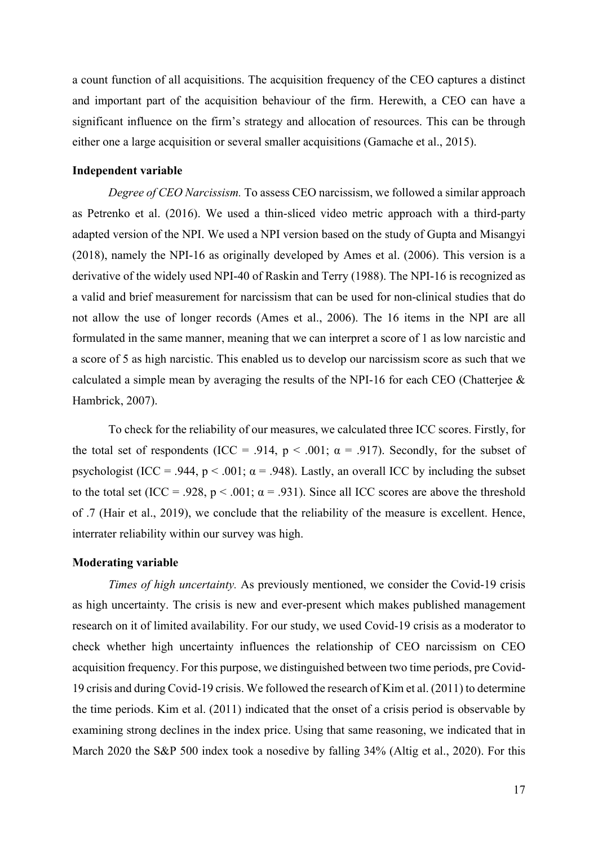a count function of all acquisitions. The acquisition frequency of the CEO captures a distinct and important part of the acquisition behaviour of the firm. Herewith, a CEO can have a significant influence on the firm's strategy and allocation of resources. This can be through either one a large acquisition or several smaller acquisitions (Gamache et al., 2015).

### **Independent variable**

*Degree of CEO Narcissism.* To assess CEO narcissism, we followed a similar approach as Petrenko et al. (2016). We used a thin-sliced video metric approach with a third-party adapted version of the NPI. We used a NPI version based on the study of Gupta and Misangyi (2018), namely the NPI-16 as originally developed by Ames et al. (2006). This version is a derivative of the widely used NPI-40 of Raskin and Terry (1988). The NPI-16 is recognized as a valid and brief measurement for narcissism that can be used for non-clinical studies that do not allow the use of longer records (Ames et al., 2006). The 16 items in the NPI are all formulated in the same manner, meaning that we can interpret a score of 1 as low narcistic and a score of 5 as high narcistic. This enabled us to develop our narcissism score as such that we calculated a simple mean by averaging the results of the NPI-16 for each CEO (Chatterjee & Hambrick, 2007).

 To check for the reliability of our measures, we calculated three ICC scores. Firstly, for the total set of respondents (ICC = .914,  $p < .001$ ;  $\alpha = .917$ ). Secondly, for the subset of psychologist (ICC = .944,  $p < .001$ ;  $\alpha = .948$ ). Lastly, an overall ICC by including the subset to the total set (ICC = .928,  $p < .001$ ;  $\alpha = .931$ ). Since all ICC scores are above the threshold of .7 (Hair et al., 2019), we conclude that the reliability of the measure is excellent. Hence, interrater reliability within our survey was high.

#### **Moderating variable**

*Times of high uncertainty.* As previously mentioned, we consider the Covid-19 crisis as high uncertainty. The crisis is new and ever-present which makes published management research on it of limited availability. For our study, we used Covid-19 crisis as a moderator to check whether high uncertainty influences the relationship of CEO narcissism on CEO acquisition frequency. For this purpose, we distinguished between two time periods, pre Covid-19 crisis and during Covid-19 crisis. We followed the research of Kim et al. (2011) to determine the time periods. Kim et al. (2011) indicated that the onset of a crisis period is observable by examining strong declines in the index price. Using that same reasoning, we indicated that in March 2020 the S&P 500 index took a nosedive by falling 34% (Altig et al., 2020). For this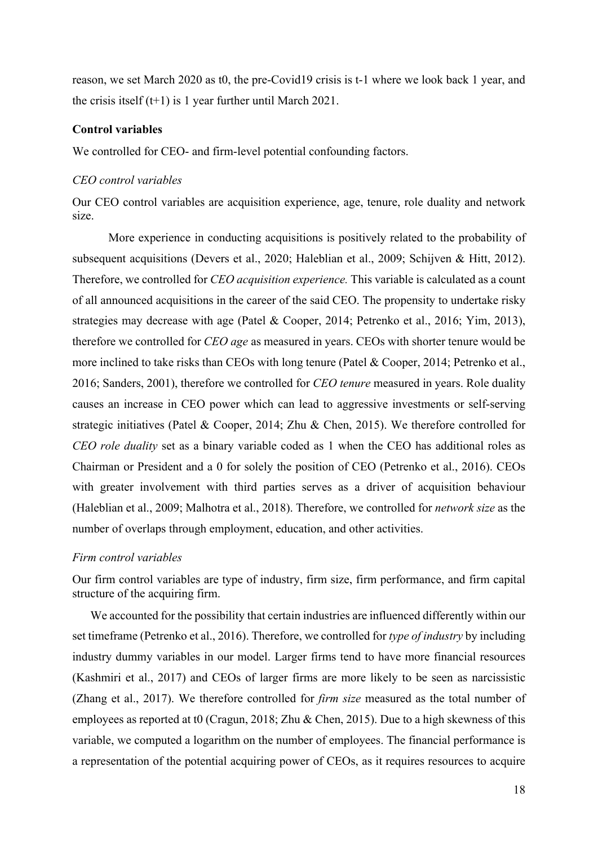reason, we set March 2020 as t0, the pre-Covid19 crisis is t-1 where we look back 1 year, and the crisis itself  $(t+1)$  is 1 year further until March 2021.

#### **Control variables**

We controlled for CEO- and firm-level potential confounding factors.

#### *CEO control variables*

Our CEO control variables are acquisition experience, age, tenure, role duality and network size.

More experience in conducting acquisitions is positively related to the probability of subsequent acquisitions (Devers et al., 2020; Haleblian et al., 2009; Schijven & Hitt, 2012). Therefore, we controlled for *CEO acquisition experience.* This variable is calculated as a count of all announced acquisitions in the career of the said CEO. The propensity to undertake risky strategies may decrease with age (Patel & Cooper, 2014; Petrenko et al., 2016; Yim, 2013), therefore we controlled for *CEO age* as measured in years. CEOs with shorter tenure would be more inclined to take risks than CEOs with long tenure (Patel & Cooper, 2014; Petrenko et al., 2016; Sanders, 2001), therefore we controlled for *CEO tenure* measured in years. Role duality causes an increase in CEO power which can lead to aggressive investments or self-serving strategic initiatives (Patel & Cooper, 2014; Zhu & Chen, 2015). We therefore controlled for *CEO role duality* set as a binary variable coded as 1 when the CEO has additional roles as Chairman or President and a 0 for solely the position of CEO (Petrenko et al., 2016). CEOs with greater involvement with third parties serves as a driver of acquisition behaviour (Haleblian et al., 2009; Malhotra et al., 2018). Therefore, we controlled for *network size* as the number of overlaps through employment, education, and other activities.

#### *Firm control variables*

Our firm control variables are type of industry, firm size, firm performance, and firm capital structure of the acquiring firm.

We accounted for the possibility that certain industries are influenced differently within our set timeframe (Petrenko et al., 2016). Therefore, we controlled for *type of industry* by including industry dummy variables in our model. Larger firms tend to have more financial resources (Kashmiri et al., 2017) and CEOs of larger firms are more likely to be seen as narcissistic (Zhang et al., 2017). We therefore controlled for *firm size* measured as the total number of employees as reported at t0 (Cragun, 2018; Zhu & Chen, 2015). Due to a high skewness of this variable, we computed a logarithm on the number of employees. The financial performance is a representation of the potential acquiring power of CEOs, as it requires resources to acquire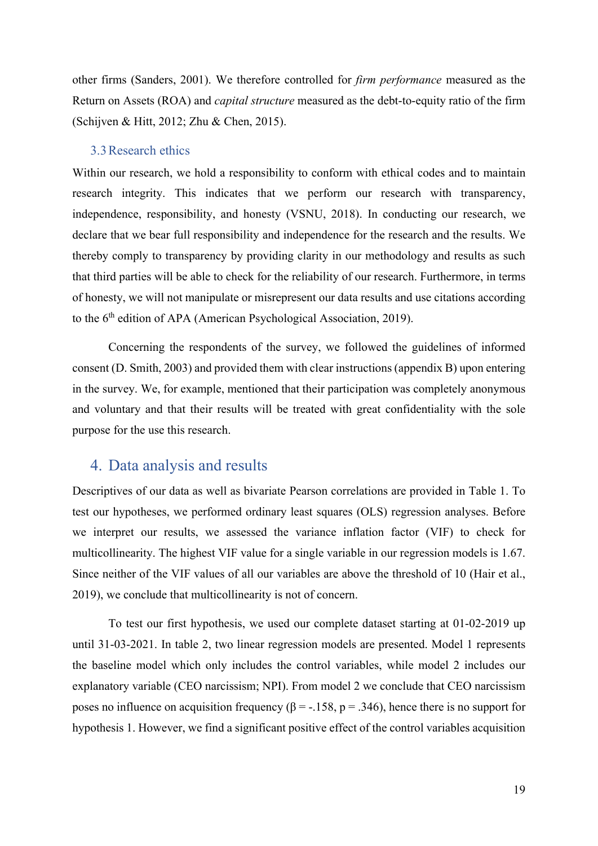other firms (Sanders, 2001). We therefore controlled for *firm performance* measured as the Return on Assets (ROA) and *capital structure* measured as the debt-to-equity ratio of the firm (Schijven & Hitt, 2012; Zhu & Chen, 2015).

#### 3.3Research ethics

Within our research, we hold a responsibility to conform with ethical codes and to maintain research integrity. This indicates that we perform our research with transparency, independence, responsibility, and honesty (VSNU, 2018). In conducting our research, we declare that we bear full responsibility and independence for the research and the results. We thereby comply to transparency by providing clarity in our methodology and results as such that third parties will be able to check for the reliability of our research. Furthermore, in terms of honesty, we will not manipulate or misrepresent our data results and use citations according to the  $6<sup>th</sup>$  edition of APA (American Psychological Association, 2019).

Concerning the respondents of the survey, we followed the guidelines of informed consent (D. Smith, 2003) and provided them with clear instructions (appendix B) upon entering in the survey. We, for example, mentioned that their participation was completely anonymous and voluntary and that their results will be treated with great confidentiality with the sole purpose for the use this research.

# 4. Data analysis and results

Descriptives of our data as well as bivariate Pearson correlations are provided in Table 1. To test our hypotheses, we performed ordinary least squares (OLS) regression analyses. Before we interpret our results, we assessed the variance inflation factor (VIF) to check for multicollinearity. The highest VIF value for a single variable in our regression models is 1.67. Since neither of the VIF values of all our variables are above the threshold of 10 (Hair et al., 2019), we conclude that multicollinearity is not of concern.

To test our first hypothesis, we used our complete dataset starting at 01-02-2019 up until 31-03-2021. In table 2, two linear regression models are presented. Model 1 represents the baseline model which only includes the control variables, while model 2 includes our explanatory variable (CEO narcissism; NPI). From model 2 we conclude that CEO narcissism poses no influence on acquisition frequency ( $β = -158$ ,  $p = 0.346$ ), hence there is no support for hypothesis 1. However, we find a significant positive effect of the control variables acquisition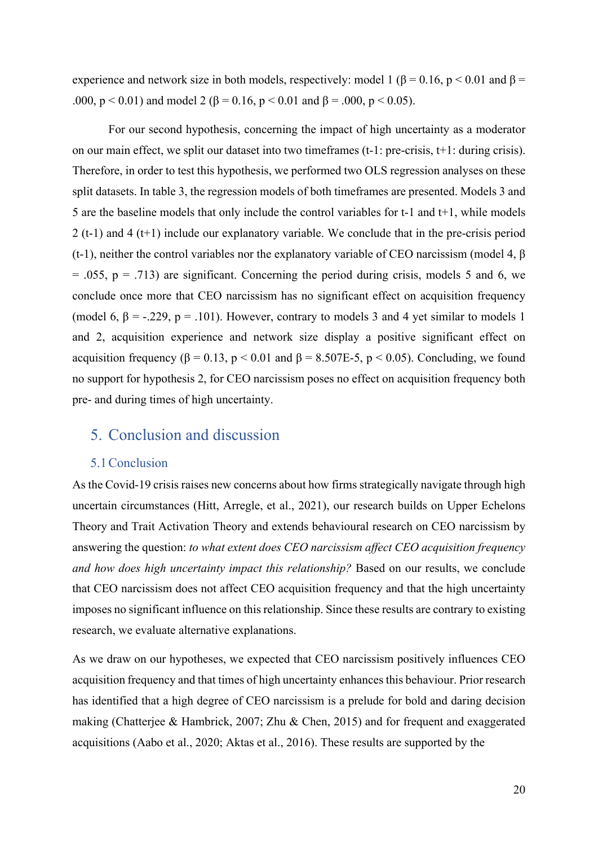experience and network size in both models, respectively: model 1 ( $\beta$  = 0.16, p < 0.01 and  $\beta$  = .000,  $p < 0.01$ ) and model 2 (β = 0.16,  $p < 0.01$  and β = .000,  $p < 0.05$ ).

For our second hypothesis, concerning the impact of high uncertainty as a moderator on our main effect, we split our dataset into two timeframes (t-1: pre-crisis, t+1: during crisis). Therefore, in order to test this hypothesis, we performed two OLS regression analyses on these split datasets. In table 3, the regression models of both timeframes are presented. Models 3 and 5 are the baseline models that only include the control variables for t-1 and t+1, while models 2 (t-1) and 4 (t+1) include our explanatory variable. We conclude that in the pre-crisis period (t-1), neither the control variables nor the explanatory variable of CEO narcissism (model 4,  $\beta$ )  $= .055$ ,  $p = .713$ ) are significant. Concerning the period during crisis, models 5 and 6, we conclude once more that CEO narcissism has no significant effect on acquisition frequency (model 6,  $\beta$  = -.229, p = .101). However, contrary to models 3 and 4 yet similar to models 1 and 2, acquisition experience and network size display a positive significant effect on acquisition frequency ( $\beta = 0.13$ ,  $p < 0.01$  and  $\beta = 8.507E-5$ ,  $p < 0.05$ ). Concluding, we found no support for hypothesis 2, for CEO narcissism poses no effect on acquisition frequency both pre- and during times of high uncertainty.

# 5. Conclusion and discussion

### 5.1Conclusion

As the Covid-19 crisis raises new concerns about how firms strategically navigate through high uncertain circumstances (Hitt, Arregle, et al., 2021), our research builds on Upper Echelons Theory and Trait Activation Theory and extends behavioural research on CEO narcissism by answering the question: *to what extent does CEO narcissism affect CEO acquisition frequency and how does high uncertainty impact this relationship?* Based on our results, we conclude that CEO narcissism does not affect CEO acquisition frequency and that the high uncertainty imposes no significant influence on this relationship. Since these results are contrary to existing research, we evaluate alternative explanations.

As we draw on our hypotheses, we expected that CEO narcissism positively influences CEO acquisition frequency and that times of high uncertainty enhances this behaviour. Prior research has identified that a high degree of CEO narcissism is a prelude for bold and daring decision making (Chatterjee & Hambrick, 2007; Zhu & Chen, 2015) and for frequent and exaggerated acquisitions (Aabo et al., 2020; Aktas et al., 2016). These results are supported by the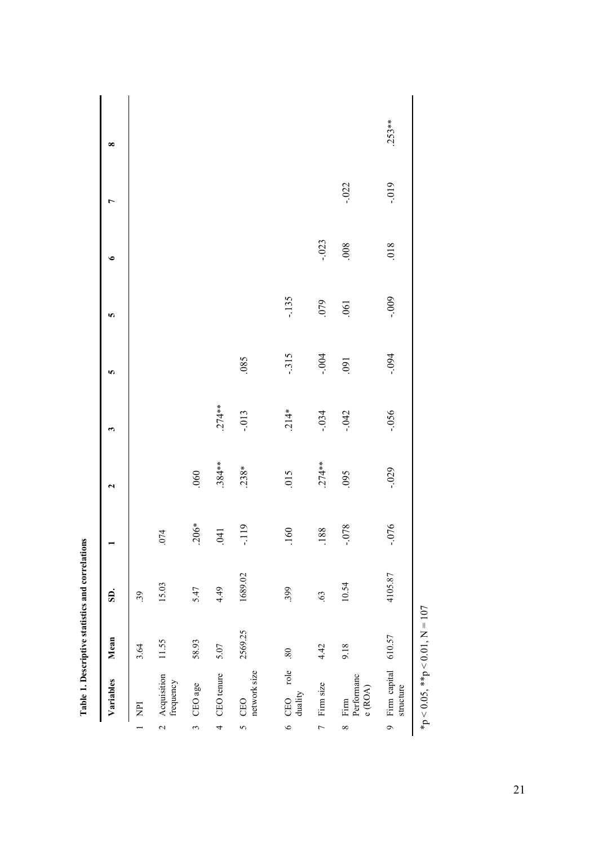| $\overline{P}$               | Mean                | SD.     |          | 2        | 3        | S       | S        | ی        | $\overline{ }$ | $\infty$ |
|------------------------------|---------------------|---------|----------|----------|----------|---------|----------|----------|----------------|----------|
|                              | 3.64                | 39      |          |          |          |         |          |          |                |          |
| Acquisition<br>frequency     | 11.55               | 15.03   | .074     |          |          |         |          |          |                |          |
| CEO age                      | 58.93               | 5.47    | $.206*$  | .060     |          |         |          |          |                |          |
| CEO tenure                   | 5.07                | 4.49    | .041     | $.384**$ | $.274**$ |         |          |          |                |          |
| network size<br>CEO          | 2569.25             | 1689.02 | $-119$   | $.238*$  | $-0.013$ | .085    |          |          |                |          |
| CEO role<br>duality          | .80                 | .399    | .160     | 015      | $.214*$  | $-315$  | $-135$   |          |                |          |
| Firm size                    | 4.42                | 63      | .188     | $.274**$ | $-.034$  | $-0.04$ | 620.     | $-0.023$ |                |          |
| Performanc<br>e(ROA)<br>Firm | 9.18                | 10.54   | $8L0 -$  | .095     | $-042$   | .091    | .061     | 008      | $-.022$        |          |
| structure                    | Firm capital 610.57 | 4105.87 | $-0.076$ | $-0.029$ | $-0.056$ | $+0.04$ | $-0.009$ | 018      | $-0.019$       | $.253**$ |

Table 1. Descriptive statistics and correlations **Table 1. Descriptive statistics and correlations**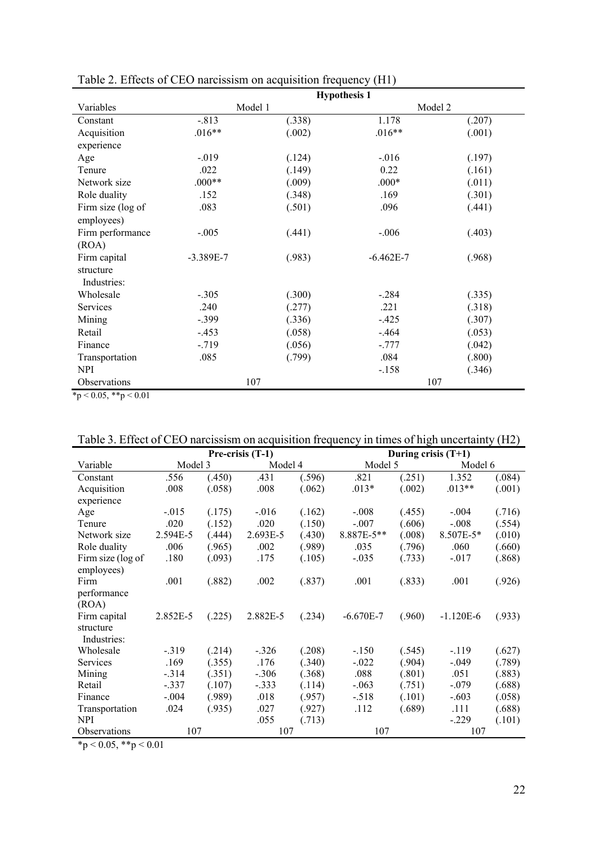|                   |             |         | <b>Hypothesis 1</b> |        |
|-------------------|-------------|---------|---------------------|--------|
| Variables         |             | Model 1 | Model 2             |        |
| Constant          | $-.813$     | (.338)  | 1.178               | (.207) |
| Acquisition       | $.016**$    | (.002)  | $.016**$            | (.001) |
| experience        |             |         |                     |        |
| Age               | $-0.019$    | (.124)  | $-0.016$            | (.197) |
| Tenure            | .022        | (.149)  | 0.22                | (.161) |
| Network size      | $.000**$    | (.009)  | $.000*$             | (.011) |
| Role duality      | .152        | (.348)  | .169                | (.301) |
| Firm size (log of | .083        | (.501)  | .096                | (.441) |
| employees)        |             |         |                     |        |
| Firm performance  | $-.005$     | (.441)  | $-.006$             | (.403) |
| (ROA)             |             |         |                     |        |
| Firm capital      | $-3.389E-7$ | (.983)  | $-6.462E-7$         | (.968) |
| structure         |             |         |                     |        |
| Industries:       |             |         |                     |        |
| Wholesale         | $-.305$     | (.300)  | $-.284$             | (.335) |
| Services          | .240        | (.277)  | .221                | (.318) |
| Mining            | $-.399$     | (.336)  | $-.425$             | (.307) |
| Retail            | $-.453$     | (.058)  | $-.464$             | (.053) |
| Finance           | $-719$      | (.056)  | $-.777$             | (.042) |
| Transportation    | .085        | (.799)  | .084                | (.800) |
| <b>NPI</b>        |             |         | $-.158$             | (.346) |
| Observations      |             | 107     | 107                 |        |

Table 2. Effects of CEO narcissism on acquisition frequency (H1)

 $*_{p < 0.05, *p < 0.01}$ 

|  |  |  |  |  | Table 3. Effect of CEO narcissism on acquisition frequency in times of high uncertainty (H2) |  |
|--|--|--|--|--|----------------------------------------------------------------------------------------------|--|
|  |  |  |  |  |                                                                                              |  |

|                   |          |        | Pre-crisis (T-1) |        | During crisis $(T+1)$ |        |             |        |
|-------------------|----------|--------|------------------|--------|-----------------------|--------|-------------|--------|
| Variable          | Model 3  |        | Model 4          |        | Model 5               |        | Model 6     |        |
| Constant          | .556     | (.450) | .431             | (.596) | .821                  | (251)  | 1.352       | (.084) |
| Acquisition       | .008     | (.058) | .008             | (.062) | $.013*$               | (.002) | $.013**$    | (.001) |
| experience        |          |        |                  |        |                       |        |             |        |
| Age               | $-.015$  | (.175) | $-.016$          | (.162) | $-.008$               | (.455) | $-.004$     | (.716) |
| Tenure            | .020     | (.152) | .020             | (.150) | $-.007$               | (.606) | $-.008$     | (.554) |
| Network size      | 2.594E-5 | (.444) | 2.693E-5         | (.430) | 8.887E-5**            | (.008) | 8.507E-5*   | (.010) |
| Role duality      | .006     | (.965) | .002             | (.989) | .035                  | (.796) | .060        | (.660) |
| Firm size (log of | .180     | (.093) | .175             | (.105) | $-.035$               | (.733) | $-.017$     | (.868) |
| employees)        |          |        |                  |        |                       |        |             |        |
| Firm              | .001     | (.882) | .002             | (.837) | .001                  | (.833) | .001        | (.926) |
| performance       |          |        |                  |        |                       |        |             |        |
| (ROA)             |          |        |                  |        |                       |        |             |        |
| Firm capital      | 2.852E-5 | (.225) | 2.882E-5         | (.234) | $-6.670E - 7$         | (.960) | $-1.120E-6$ | (.933) |
| structure         |          |        |                  |        |                       |        |             |        |
| Industries:       |          |        |                  |        |                       |        |             |        |
| Wholesale         | $-.319$  | (.214) | $-.326$          | (.208) | $-.150$               | (.545) | $-119$      | (.627) |
| Services          | .169     | (.355) | .176             | (.340) | $-.022$               | (.904) | $-.049$     | (.789) |
| Mining            | $-314$   | (.351) | $-.306$          | (.368) | .088                  | (.801) | .051        | (.883) |
| Retail            | $-.337$  | (.107) | $-.333$          | (.114) | $-.063$               | (.751) | $-.079$     | (.688) |
| Finance           | $-.004$  | (.989) | .018             | (.957) | $-.518$               | (.101) | $-.603$     | (.058) |
| Transportation    | .024     | (.935) | .027             | (.927) | .112                  | (.689) | .111        | (.688) |
| NPI               |          |        | .055             | (.713) |                       |        | $-.229$     | (.101) |
| Observations      | 107      |        | 107              |        | 107                   |        | 107         |        |

 $\frac{\text{Ooservations}}{\text{*p} < 0.05, \text{**p} < 0.01}$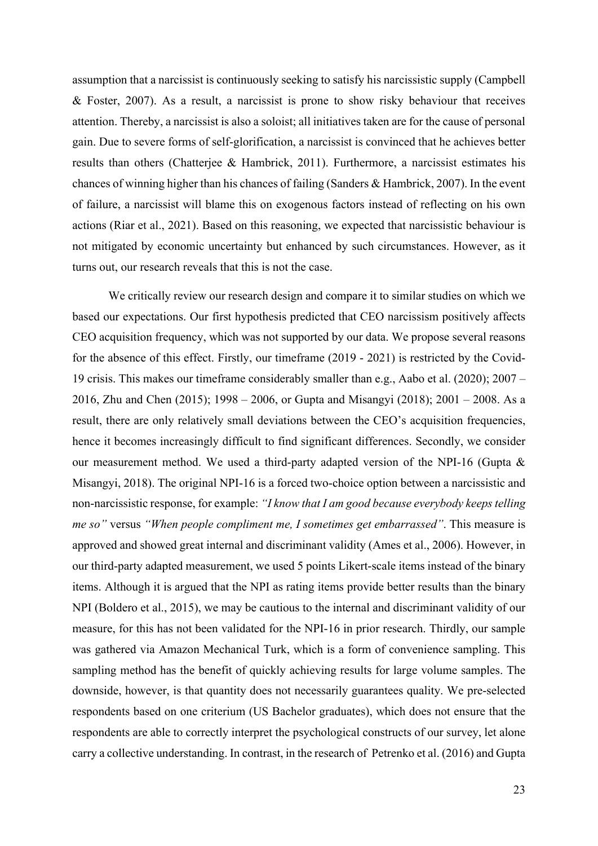assumption that a narcissist is continuously seeking to satisfy his narcissistic supply (Campbell & Foster, 2007). As a result, a narcissist is prone to show risky behaviour that receives attention. Thereby, a narcissist is also a soloist; all initiatives taken are for the cause of personal gain. Due to severe forms of self-glorification, a narcissist is convinced that he achieves better results than others (Chatterjee & Hambrick, 2011). Furthermore, a narcissist estimates his chances of winning higher than his chances of failing (Sanders & Hambrick, 2007). In the event of failure, a narcissist will blame this on exogenous factors instead of reflecting on his own actions (Riar et al., 2021). Based on this reasoning, we expected that narcissistic behaviour is not mitigated by economic uncertainty but enhanced by such circumstances. However, as it turns out, our research reveals that this is not the case.

 We critically review our research design and compare it to similar studies on which we based our expectations. Our first hypothesis predicted that CEO narcissism positively affects CEO acquisition frequency, which was not supported by our data. We propose several reasons for the absence of this effect. Firstly, our timeframe (2019 - 2021) is restricted by the Covid-19 crisis. This makes our timeframe considerably smaller than e.g., Aabo et al. (2020); 2007 – 2016, Zhu and Chen (2015); 1998 – 2006, or Gupta and Misangyi (2018); 2001 – 2008. As a result, there are only relatively small deviations between the CEO's acquisition frequencies, hence it becomes increasingly difficult to find significant differences. Secondly, we consider our measurement method. We used a third-party adapted version of the NPI-16 (Gupta & Misangyi, 2018). The original NPI-16 is a forced two-choice option between a narcissistic and non-narcissistic response, for example: *"I know that I am good because everybody keeps telling me so"* versus *"When people compliment me, I sometimes get embarrassed"*. This measure is approved and showed great internal and discriminant validity (Ames et al., 2006). However, in our third-party adapted measurement, we used 5 points Likert-scale items instead of the binary items. Although it is argued that the NPI as rating items provide better results than the binary NPI (Boldero et al., 2015), we may be cautious to the internal and discriminant validity of our measure, for this has not been validated for the NPI-16 in prior research. Thirdly, our sample was gathered via Amazon Mechanical Turk, which is a form of convenience sampling. This sampling method has the benefit of quickly achieving results for large volume samples. The downside, however, is that quantity does not necessarily guarantees quality. We pre-selected respondents based on one criterium (US Bachelor graduates), which does not ensure that the respondents are able to correctly interpret the psychological constructs of our survey, let alone carry a collective understanding. In contrast, in the research of Petrenko et al. (2016) and Gupta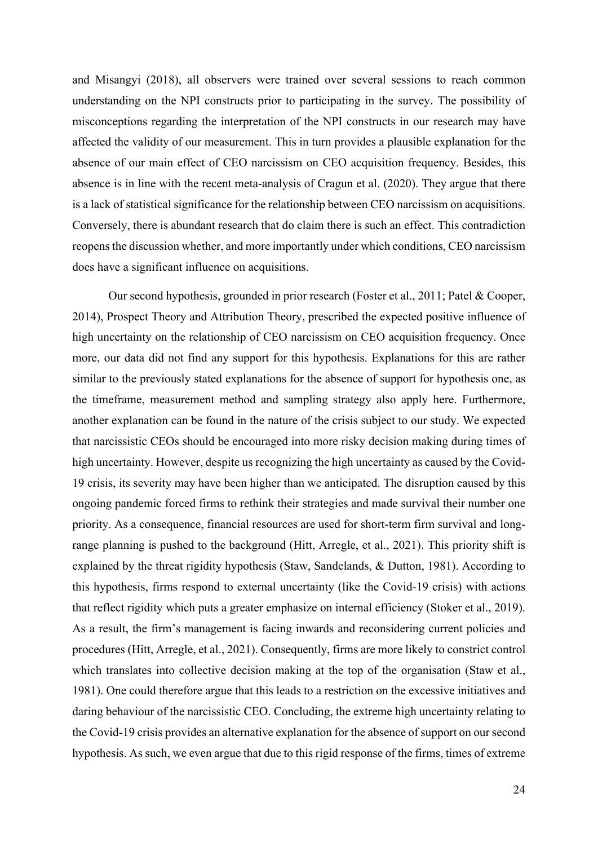and Misangyi (2018), all observers were trained over several sessions to reach common understanding on the NPI constructs prior to participating in the survey. The possibility of misconceptions regarding the interpretation of the NPI constructs in our research may have affected the validity of our measurement. This in turn provides a plausible explanation for the absence of our main effect of CEO narcissism on CEO acquisition frequency. Besides, this absence is in line with the recent meta-analysis of Cragun et al. (2020). They argue that there is a lack of statistical significance for the relationship between CEO narcissism on acquisitions. Conversely, there is abundant research that do claim there is such an effect. This contradiction reopens the discussion whether, and more importantly under which conditions, CEO narcissism does have a significant influence on acquisitions.

Our second hypothesis, grounded in prior research (Foster et al., 2011; Patel & Cooper, 2014), Prospect Theory and Attribution Theory, prescribed the expected positive influence of high uncertainty on the relationship of CEO narcissism on CEO acquisition frequency. Once more, our data did not find any support for this hypothesis. Explanations for this are rather similar to the previously stated explanations for the absence of support for hypothesis one, as the timeframe, measurement method and sampling strategy also apply here. Furthermore, another explanation can be found in the nature of the crisis subject to our study. We expected that narcissistic CEOs should be encouraged into more risky decision making during times of high uncertainty. However, despite us recognizing the high uncertainty as caused by the Covid-19 crisis, its severity may have been higher than we anticipated. The disruption caused by this ongoing pandemic forced firms to rethink their strategies and made survival their number one priority. As a consequence, financial resources are used for short-term firm survival and longrange planning is pushed to the background (Hitt, Arregle, et al., 2021). This priority shift is explained by the threat rigidity hypothesis (Staw, Sandelands, & Dutton, 1981). According to this hypothesis, firms respond to external uncertainty (like the Covid-19 crisis) with actions that reflect rigidity which puts a greater emphasize on internal efficiency (Stoker et al., 2019). As a result, the firm's management is facing inwards and reconsidering current policies and procedures (Hitt, Arregle, et al., 2021). Consequently, firms are more likely to constrict control which translates into collective decision making at the top of the organisation (Staw et al., 1981). One could therefore argue that this leads to a restriction on the excessive initiatives and daring behaviour of the narcissistic CEO. Concluding, the extreme high uncertainty relating to the Covid-19 crisis provides an alternative explanation for the absence of support on our second hypothesis. As such, we even argue that due to this rigid response of the firms, times of extreme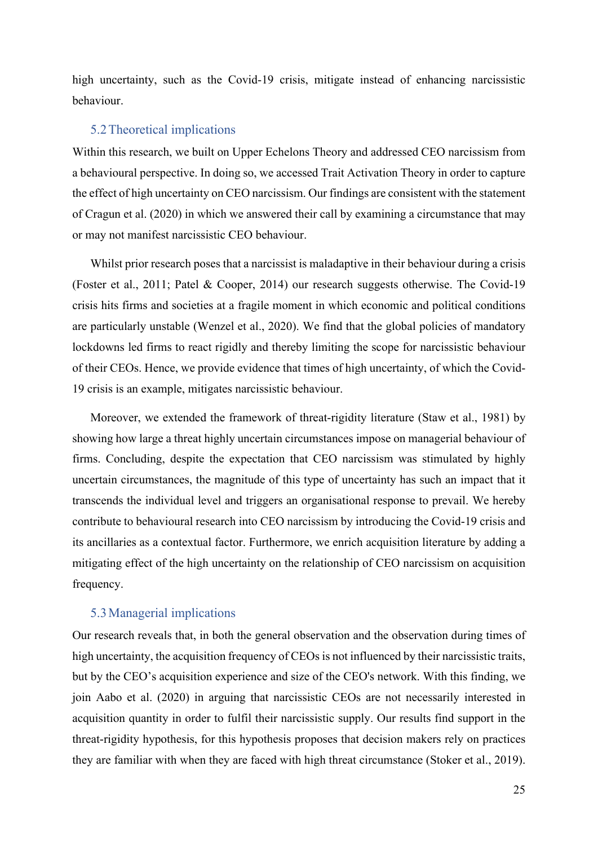high uncertainty, such as the Covid-19 crisis, mitigate instead of enhancing narcissistic behaviour.

# 5.2Theoretical implications

Within this research, we built on Upper Echelons Theory and addressed CEO narcissism from a behavioural perspective. In doing so, we accessed Trait Activation Theory in order to capture the effect of high uncertainty on CEO narcissism. Our findings are consistent with the statement of Cragun et al. (2020) in which we answered their call by examining a circumstance that may or may not manifest narcissistic CEO behaviour.

Whilst prior research poses that a narcissist is maladaptive in their behaviour during a crisis (Foster et al., 2011; Patel & Cooper, 2014) our research suggests otherwise. The Covid-19 crisis hits firms and societies at a fragile moment in which economic and political conditions are particularly unstable (Wenzel et al., 2020). We find that the global policies of mandatory lockdowns led firms to react rigidly and thereby limiting the scope for narcissistic behaviour of their CEOs. Hence, we provide evidence that times of high uncertainty, of which the Covid-19 crisis is an example, mitigates narcissistic behaviour.

Moreover, we extended the framework of threat-rigidity literature (Staw et al., 1981) by showing how large a threat highly uncertain circumstances impose on managerial behaviour of firms. Concluding, despite the expectation that CEO narcissism was stimulated by highly uncertain circumstances, the magnitude of this type of uncertainty has such an impact that it transcends the individual level and triggers an organisational response to prevail. We hereby contribute to behavioural research into CEO narcissism by introducing the Covid-19 crisis and its ancillaries as a contextual factor. Furthermore, we enrich acquisition literature by adding a mitigating effect of the high uncertainty on the relationship of CEO narcissism on acquisition frequency.

#### 5.3Managerial implications

Our research reveals that, in both the general observation and the observation during times of high uncertainty, the acquisition frequency of CEOs is not influenced by their narcissistic traits, but by the CEO's acquisition experience and size of the CEO's network. With this finding, we join Aabo et al. (2020) in arguing that narcissistic CEOs are not necessarily interested in acquisition quantity in order to fulfil their narcissistic supply. Our results find support in the threat-rigidity hypothesis, for this hypothesis proposes that decision makers rely on practices they are familiar with when they are faced with high threat circumstance (Stoker et al., 2019).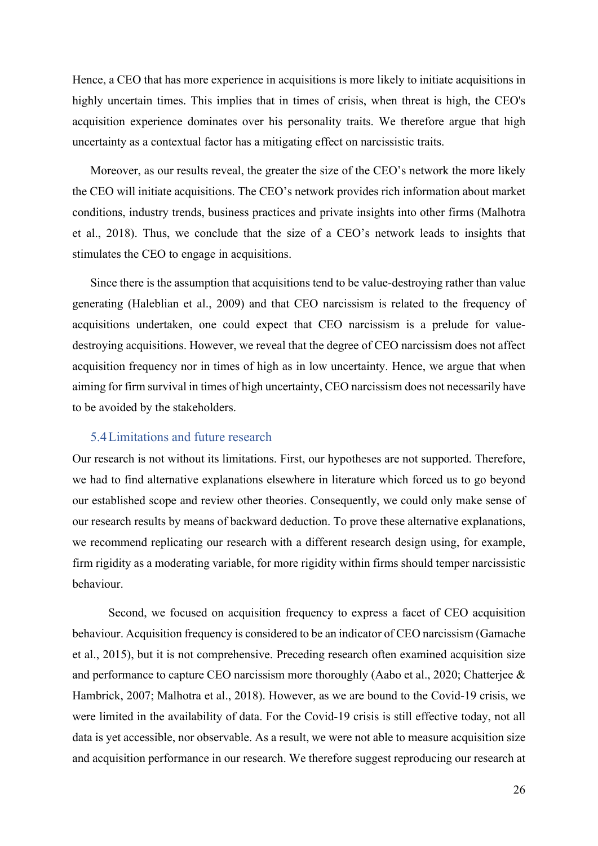Hence, a CEO that has more experience in acquisitions is more likely to initiate acquisitions in highly uncertain times. This implies that in times of crisis, when threat is high, the CEO's acquisition experience dominates over his personality traits. We therefore argue that high uncertainty as a contextual factor has a mitigating effect on narcissistic traits.

Moreover, as our results reveal, the greater the size of the CEO's network the more likely the CEO will initiate acquisitions. The CEO's network provides rich information about market conditions, industry trends, business practices and private insights into other firms (Malhotra et al., 2018). Thus, we conclude that the size of a CEO's network leads to insights that stimulates the CEO to engage in acquisitions.

Since there is the assumption that acquisitions tend to be value-destroying rather than value generating (Haleblian et al., 2009) and that CEO narcissism is related to the frequency of acquisitions undertaken, one could expect that CEO narcissism is a prelude for valuedestroying acquisitions. However, we reveal that the degree of CEO narcissism does not affect acquisition frequency nor in times of high as in low uncertainty. Hence, we argue that when aiming for firm survival in times of high uncertainty, CEO narcissism does not necessarily have to be avoided by the stakeholders.

## 5.4Limitations and future research

Our research is not without its limitations. First, our hypotheses are not supported. Therefore, we had to find alternative explanations elsewhere in literature which forced us to go beyond our established scope and review other theories. Consequently, we could only make sense of our research results by means of backward deduction. To prove these alternative explanations, we recommend replicating our research with a different research design using, for example, firm rigidity as a moderating variable, for more rigidity within firms should temper narcissistic behaviour.

Second, we focused on acquisition frequency to express a facet of CEO acquisition behaviour. Acquisition frequency is considered to be an indicator of CEO narcissism (Gamache et al., 2015), but it is not comprehensive. Preceding research often examined acquisition size and performance to capture CEO narcissism more thoroughly (Aabo et al., 2020; Chatterjee & Hambrick, 2007; Malhotra et al., 2018). However, as we are bound to the Covid-19 crisis, we were limited in the availability of data. For the Covid-19 crisis is still effective today, not all data is yet accessible, nor observable. As a result, we were not able to measure acquisition size and acquisition performance in our research. We therefore suggest reproducing our research at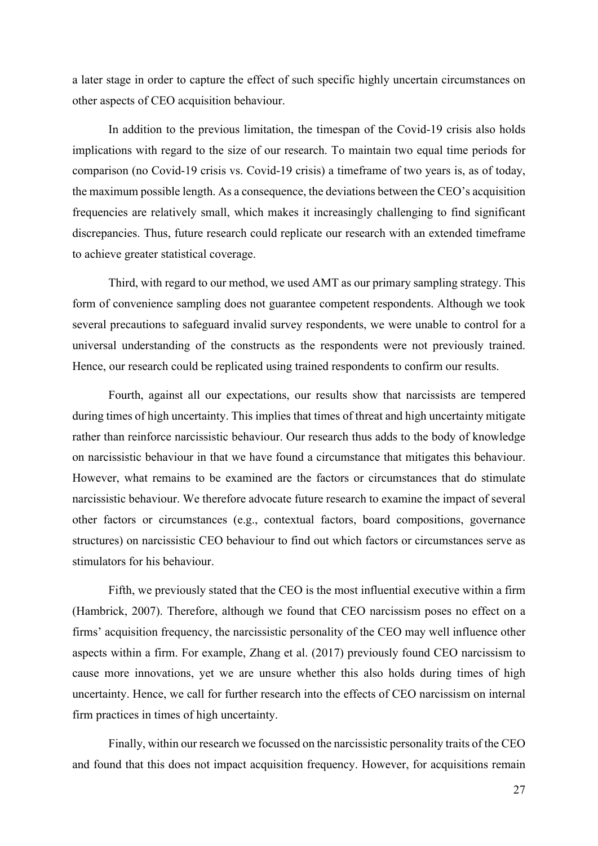a later stage in order to capture the effect of such specific highly uncertain circumstances on other aspects of CEO acquisition behaviour.

In addition to the previous limitation, the timespan of the Covid-19 crisis also holds implications with regard to the size of our research. To maintain two equal time periods for comparison (no Covid-19 crisis vs. Covid-19 crisis) a timeframe of two years is, as of today, the maximum possible length. As a consequence, the deviations between the CEO's acquisition frequencies are relatively small, which makes it increasingly challenging to find significant discrepancies. Thus, future research could replicate our research with an extended timeframe to achieve greater statistical coverage.

Third, with regard to our method, we used AMT as our primary sampling strategy. This form of convenience sampling does not guarantee competent respondents. Although we took several precautions to safeguard invalid survey respondents, we were unable to control for a universal understanding of the constructs as the respondents were not previously trained. Hence, our research could be replicated using trained respondents to confirm our results.

Fourth, against all our expectations, our results show that narcissists are tempered during times of high uncertainty. This implies that times of threat and high uncertainty mitigate rather than reinforce narcissistic behaviour. Our research thus adds to the body of knowledge on narcissistic behaviour in that we have found a circumstance that mitigates this behaviour. However, what remains to be examined are the factors or circumstances that do stimulate narcissistic behaviour. We therefore advocate future research to examine the impact of several other factors or circumstances (e.g., contextual factors, board compositions, governance structures) on narcissistic CEO behaviour to find out which factors or circumstances serve as stimulators for his behaviour.

Fifth, we previously stated that the CEO is the most influential executive within a firm (Hambrick, 2007). Therefore, although we found that CEO narcissism poses no effect on a firms' acquisition frequency, the narcissistic personality of the CEO may well influence other aspects within a firm. For example, Zhang et al. (2017) previously found CEO narcissism to cause more innovations, yet we are unsure whether this also holds during times of high uncertainty. Hence, we call for further research into the effects of CEO narcissism on internal firm practices in times of high uncertainty.

Finally, within our research we focussed on the narcissistic personality traits of the CEO and found that this does not impact acquisition frequency. However, for acquisitions remain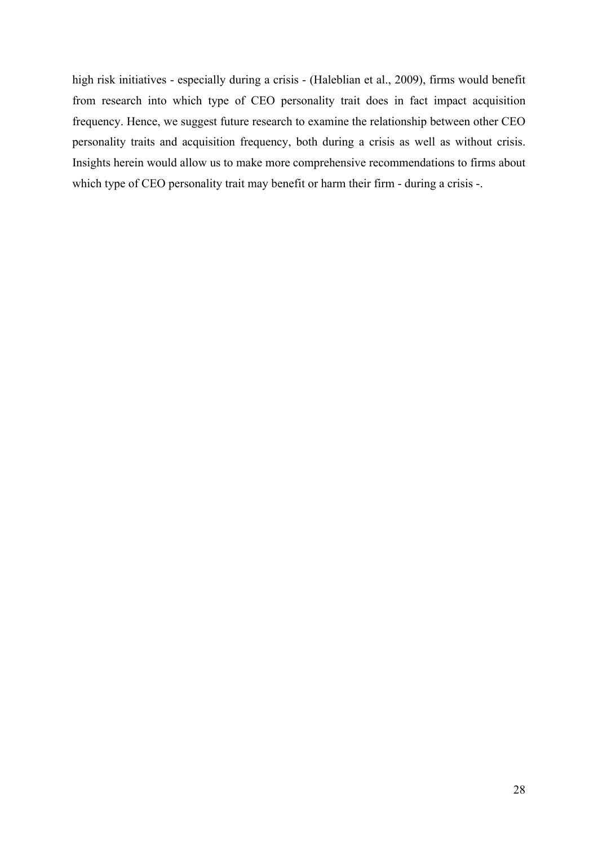high risk initiatives - especially during a crisis - (Haleblian et al., 2009), firms would benefit from research into which type of CEO personality trait does in fact impact acquisition frequency. Hence, we suggest future research to examine the relationship between other CEO personality traits and acquisition frequency, both during a crisis as well as without crisis. Insights herein would allow us to make more comprehensive recommendations to firms about which type of CEO personality trait may benefit or harm their firm - during a crisis -.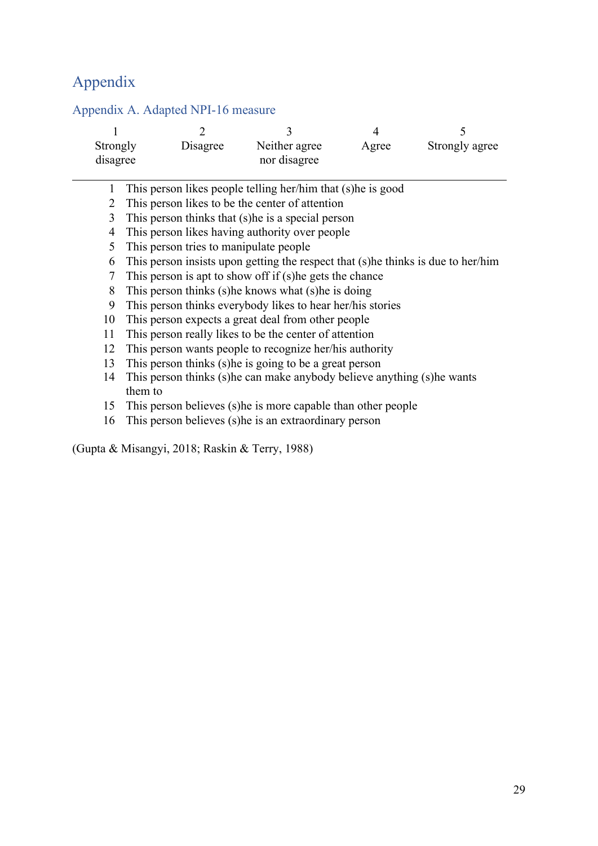# Appendix

|          |                                                                          |          | 3                                                                                 | 4     |                |  |  |  |
|----------|--------------------------------------------------------------------------|----------|-----------------------------------------------------------------------------------|-------|----------------|--|--|--|
| Strongly |                                                                          | Disagree | Neither agree                                                                     | Agree | Strongly agree |  |  |  |
| disagree |                                                                          |          | nor disagree                                                                      |       |                |  |  |  |
|          |                                                                          |          |                                                                                   |       |                |  |  |  |
|          |                                                                          |          | This person likes people telling her/him that (s) he is good                      |       |                |  |  |  |
| 2        |                                                                          |          | This person likes to be the center of attention                                   |       |                |  |  |  |
| 3        |                                                                          |          | This person thinks that (s) he is a special person                                |       |                |  |  |  |
| 4        |                                                                          |          | This person likes having authority over people                                    |       |                |  |  |  |
| 5        |                                                                          |          | This person tries to manipulate people                                            |       |                |  |  |  |
| 6        |                                                                          |          | This person insists upon getting the respect that (s) he thinks is due to her/him |       |                |  |  |  |
| 7        |                                                                          |          | This person is apt to show off if (s) he gets the chance                          |       |                |  |  |  |
| 8        |                                                                          |          | This person thinks (s) he knows what (s) he is doing                              |       |                |  |  |  |
| 9        |                                                                          |          | This person thinks everybody likes to hear her/his stories                        |       |                |  |  |  |
| 10       |                                                                          |          | This person expects a great deal from other people                                |       |                |  |  |  |
| 11       |                                                                          |          | This person really likes to be the center of attention                            |       |                |  |  |  |
| 12       |                                                                          |          | This person wants people to recognize her/his authority                           |       |                |  |  |  |
| 13       |                                                                          |          | This person thinks (s) he is going to be a great person                           |       |                |  |  |  |
| 14       | This person thinks (s) he can make anybody believe anything (s) he wants |          |                                                                                   |       |                |  |  |  |
|          | them to                                                                  |          |                                                                                   |       |                |  |  |  |
| 15       |                                                                          |          | This person believes (s) he is more capable than other people                     |       |                |  |  |  |
| 16       |                                                                          |          | This person believes (s) he is an extraordinary person                            |       |                |  |  |  |
|          |                                                                          |          |                                                                                   |       |                |  |  |  |

# Appendix A. Adapted NPI-16 measure

(Gupta & Misangyi, 2018; Raskin & Terry, 1988)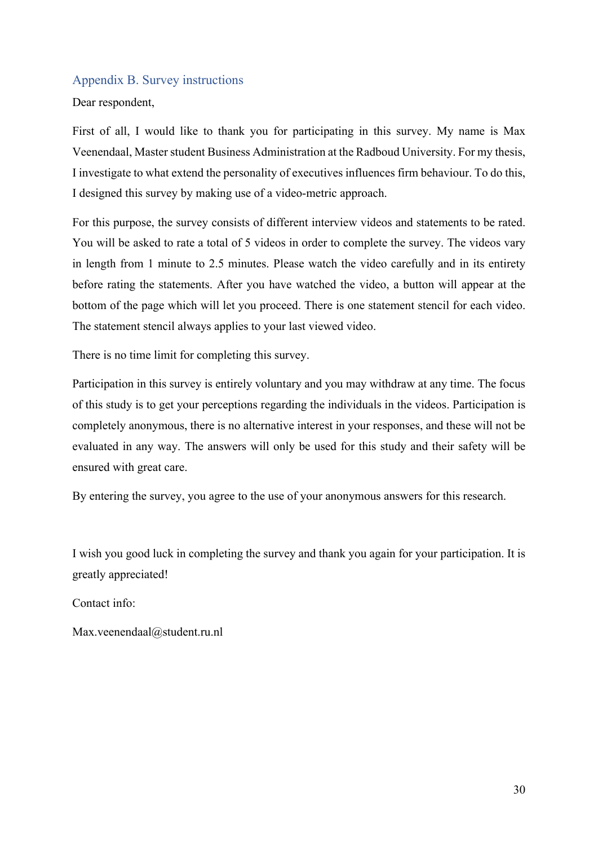## Appendix B. Survey instructions

Dear respondent,

First of all, I would like to thank you for participating in this survey. My name is Max Veenendaal, Master student Business Administration at the Radboud University. For my thesis, I investigate to what extend the personality of executives influences firm behaviour. To do this, I designed this survey by making use of a video-metric approach.

For this purpose, the survey consists of different interview videos and statements to be rated. You will be asked to rate a total of 5 videos in order to complete the survey. The videos vary in length from 1 minute to 2.5 minutes. Please watch the video carefully and in its entirety before rating the statements. After you have watched the video, a button will appear at the bottom of the page which will let you proceed. There is one statement stencil for each video. The statement stencil always applies to your last viewed video.

There is no time limit for completing this survey.

Participation in this survey is entirely voluntary and you may withdraw at any time. The focus of this study is to get your perceptions regarding the individuals in the videos. Participation is completely anonymous, there is no alternative interest in your responses, and these will not be evaluated in any way. The answers will only be used for this study and their safety will be ensured with great care.

By entering the survey, you agree to the use of your anonymous answers for this research.

I wish you good luck in completing the survey and thank you again for your participation. It is greatly appreciated!

Contact info:

Max.veenendaal@student.ru.nl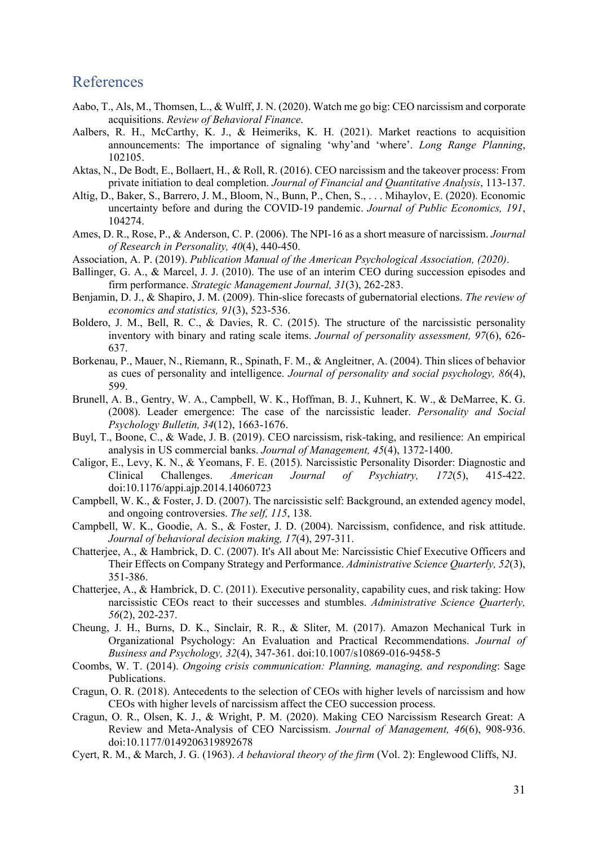# References

- Aabo, T., Als, M., Thomsen, L., & Wulff, J. N. (2020). Watch me go big: CEO narcissism and corporate acquisitions. *Review of Behavioral Finance*.
- Aalbers, R. H., McCarthy, K. J., & Heimeriks, K. H. (2021). Market reactions to acquisition announcements: The importance of signaling 'why'and 'where'. *Long Range Planning*, 102105.
- Aktas, N., De Bodt, E., Bollaert, H., & Roll, R. (2016). CEO narcissism and the takeover process: From private initiation to deal completion. *Journal of Financial and Quantitative Analysis*, 113-137.
- Altig, D., Baker, S., Barrero, J. M., Bloom, N., Bunn, P., Chen, S., . . . Mihaylov, E. (2020). Economic uncertainty before and during the COVID-19 pandemic. *Journal of Public Economics, 191*, 104274.
- Ames, D. R., Rose, P., & Anderson, C. P. (2006). The NPI-16 as a short measure of narcissism. *Journal of Research in Personality, 40*(4), 440-450.
- Association, A. P. (2019). *Publication Manual of the American Psychological Association, (2020)*.
- Ballinger, G. A., & Marcel, J. J. (2010). The use of an interim CEO during succession episodes and firm performance. *Strategic Management Journal, 31*(3), 262-283.
- Benjamin, D. J., & Shapiro, J. M. (2009). Thin-slice forecasts of gubernatorial elections. *The review of economics and statistics, 91*(3), 523-536.
- Boldero, J. M., Bell, R. C., & Davies, R. C. (2015). The structure of the narcissistic personality inventory with binary and rating scale items. *Journal of personality assessment, 97*(6), 626- 637.
- Borkenau, P., Mauer, N., Riemann, R., Spinath, F. M., & Angleitner, A. (2004). Thin slices of behavior as cues of personality and intelligence. *Journal of personality and social psychology, 86*(4), 599.
- Brunell, A. B., Gentry, W. A., Campbell, W. K., Hoffman, B. J., Kuhnert, K. W., & DeMarree, K. G. (2008). Leader emergence: The case of the narcissistic leader. *Personality and Social Psychology Bulletin, 34*(12), 1663-1676.
- Buyl, T., Boone, C., & Wade, J. B. (2019). CEO narcissism, risk-taking, and resilience: An empirical analysis in US commercial banks. *Journal of Management, 45*(4), 1372-1400.
- Caligor, E., Levy, K. N., & Yeomans, F. E. (2015). Narcissistic Personality Disorder: Diagnostic and Clinical Challenges. *American Journal of Psychiatry, 172*(5), 415-422. doi:10.1176/appi.ajp.2014.14060723
- Campbell, W. K., & Foster, J. D. (2007). The narcissistic self: Background, an extended agency model, and ongoing controversies. *The self, 115*, 138.
- Campbell, W. K., Goodie, A. S., & Foster, J. D. (2004). Narcissism, confidence, and risk attitude. *Journal of behavioral decision making, 17*(4), 297-311.
- Chatterjee, A., & Hambrick, D. C. (2007). It's All about Me: Narcissistic Chief Executive Officers and Their Effects on Company Strategy and Performance. *Administrative Science Quarterly, 52*(3), 351-386.
- Chatterjee, A., & Hambrick, D. C. (2011). Executive personality, capability cues, and risk taking: How narcissistic CEOs react to their successes and stumbles. *Administrative Science Quarterly, 56*(2), 202-237.
- Cheung, J. H., Burns, D. K., Sinclair, R. R., & Sliter, M. (2017). Amazon Mechanical Turk in Organizational Psychology: An Evaluation and Practical Recommendations. *Journal of Business and Psychology, 32*(4), 347-361. doi:10.1007/s10869-016-9458-5
- Coombs, W. T. (2014). *Ongoing crisis communication: Planning, managing, and responding*: Sage Publications.
- Cragun, O. R. (2018). Antecedents to the selection of CEOs with higher levels of narcissism and how CEOs with higher levels of narcissism affect the CEO succession process.
- Cragun, O. R., Olsen, K. J., & Wright, P. M. (2020). Making CEO Narcissism Research Great: A Review and Meta-Analysis of CEO Narcissism. *Journal of Management, 46*(6), 908-936. doi:10.1177/0149206319892678
- Cyert, R. M., & March, J. G. (1963). *A behavioral theory of the firm* (Vol. 2): Englewood Cliffs, NJ.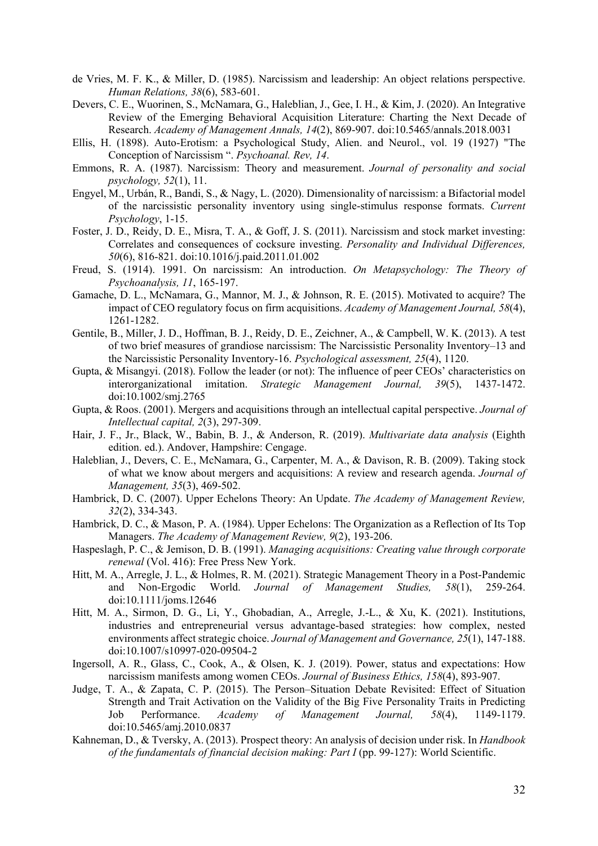- de Vries, M. F. K., & Miller, D. (1985). Narcissism and leadership: An object relations perspective. *Human Relations, 38*(6), 583-601.
- Devers, C. E., Wuorinen, S., McNamara, G., Haleblian, J., Gee, I. H., & Kim, J. (2020). An Integrative Review of the Emerging Behavioral Acquisition Literature: Charting the Next Decade of Research. *Academy of Management Annals, 14*(2), 869-907. doi:10.5465/annals.2018.0031
- Ellis, H. (1898). Auto-Erotism: a Psychological Study, Alien. and Neurol., vol. 19 (1927) "The Conception of Narcissism ". *Psychoanal. Rev, 14*.
- Emmons, R. A. (1987). Narcissism: Theory and measurement. *Journal of personality and social psychology, 52*(1), 11.
- Engyel, M., Urbán, R., Bandi, S., & Nagy, L. (2020). Dimensionality of narcissism: a Bifactorial model of the narcissistic personality inventory using single-stimulus response formats. *Current Psychology*, 1-15.
- Foster, J. D., Reidy, D. E., Misra, T. A., & Goff, J. S. (2011). Narcissism and stock market investing: Correlates and consequences of cocksure investing. *Personality and Individual Differences, 50*(6), 816-821. doi:10.1016/j.paid.2011.01.002
- Freud, S. (1914). 1991. On narcissism: An introduction. *On Metapsychology: The Theory of Psychoanalysis, 11*, 165-197.
- Gamache, D. L., McNamara, G., Mannor, M. J., & Johnson, R. E. (2015). Motivated to acquire? The impact of CEO regulatory focus on firm acquisitions. *Academy of Management Journal, 58*(4), 1261-1282.
- Gentile, B., Miller, J. D., Hoffman, B. J., Reidy, D. E., Zeichner, A., & Campbell, W. K. (2013). A test of two brief measures of grandiose narcissism: The Narcissistic Personality Inventory–13 and the Narcissistic Personality Inventory-16. *Psychological assessment, 25*(4), 1120.
- Gupta, & Misangyi. (2018). Follow the leader (or not): The influence of peer CEOs' characteristics on interorganizational imitation. *Strategic Management Journal, 39*(5), 1437-1472. doi:10.1002/smj.2765
- Gupta, & Roos. (2001). Mergers and acquisitions through an intellectual capital perspective. *Journal of Intellectual capital, 2*(3), 297-309.
- Hair, J. F., Jr., Black, W., Babin, B. J., & Anderson, R. (2019). *Multivariate data analysis* (Eighth edition. ed.). Andover, Hampshire: Cengage.
- Haleblian, J., Devers, C. E., McNamara, G., Carpenter, M. A., & Davison, R. B. (2009). Taking stock of what we know about mergers and acquisitions: A review and research agenda. *Journal of Management, 35*(3), 469-502.
- Hambrick, D. C. (2007). Upper Echelons Theory: An Update. *The Academy of Management Review, 32*(2), 334-343.
- Hambrick, D. C., & Mason, P. A. (1984). Upper Echelons: The Organization as a Reflection of Its Top Managers. *The Academy of Management Review, 9*(2), 193-206.
- Haspeslagh, P. C., & Jemison, D. B. (1991). *Managing acquisitions: Creating value through corporate renewal* (Vol. 416): Free Press New York.
- Hitt, M. A., Arregle, J. L., & Holmes, R. M. (2021). Strategic Management Theory in a Post-Pandemic and Non‐Ergodic World. *Journal of Management Studies, 58*(1), 259-264. doi:10.1111/joms.12646
- Hitt, M. A., Sirmon, D. G., Li, Y., Ghobadian, A., Arregle, J.-L., & Xu, K. (2021). Institutions, industries and entrepreneurial versus advantage-based strategies: how complex, nested environments affect strategic choice. *Journal of Management and Governance, 25*(1), 147-188. doi:10.1007/s10997-020-09504-2
- Ingersoll, A. R., Glass, C., Cook, A., & Olsen, K. J. (2019). Power, status and expectations: How narcissism manifests among women CEOs. *Journal of Business Ethics, 158*(4), 893-907.
- Judge, T. A., & Zapata, C. P. (2015). The Person–Situation Debate Revisited: Effect of Situation Strength and Trait Activation on the Validity of the Big Five Personality Traits in Predicting Job Performance. *Academy of Management Journal, 58*(4), 1149-1179. doi:10.5465/amj.2010.0837
- Kahneman, D., & Tversky, A. (2013). Prospect theory: An analysis of decision under risk. In *Handbook of the fundamentals of financial decision making: Part I* (pp. 99-127): World Scientific.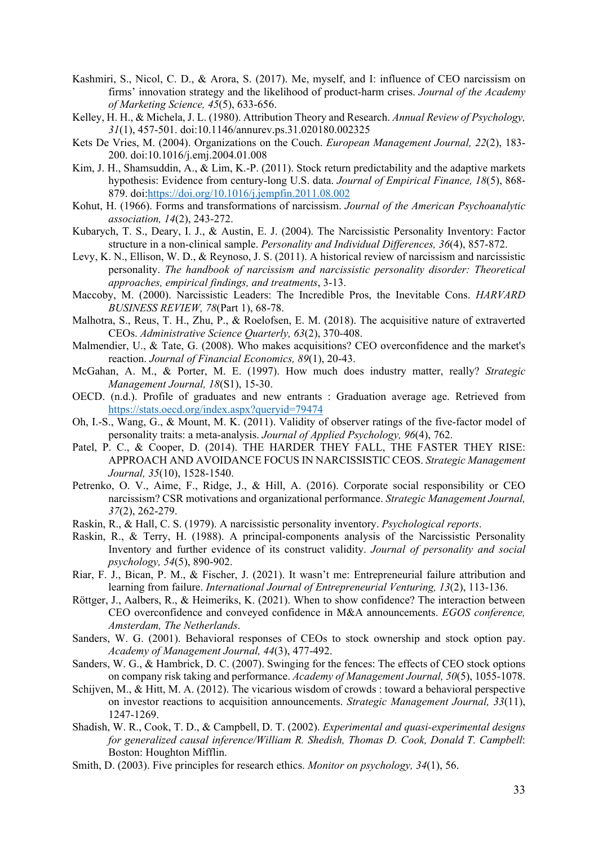- Kashmiri, S., Nicol, C. D., & Arora, S. (2017). Me, myself, and I: influence of CEO narcissism on firms' innovation strategy and the likelihood of product-harm crises. *Journal of the Academy of Marketing Science, 45*(5), 633-656.
- Kelley, H. H., & Michela, J. L. (1980). Attribution Theory and Research. *Annual Review of Psychology, 31*(1), 457-501. doi:10.1146/annurev.ps.31.020180.002325
- Kets De Vries, M. (2004). Organizations on the Couch. *European Management Journal, 22*(2), 183- 200. doi:10.1016/j.emj.2004.01.008
- Kim, J. H., Shamsuddin, A., & Lim, K.-P. (2011). Stock return predictability and the adaptive markets hypothesis: Evidence from century-long U.S. data. *Journal of Empirical Finance, 18*(5), 868- 879. doi:https://doi.org/10.1016/j.jempfin.2011.08.002
- Kohut, H. (1966). Forms and transformations of narcissism. *Journal of the American Psychoanalytic association, 14*(2), 243-272.
- Kubarych, T. S., Deary, I. J., & Austin, E. J. (2004). The Narcissistic Personality Inventory: Factor structure in a non-clinical sample. *Personality and Individual Differences, 36*(4), 857-872.
- Levy, K. N., Ellison, W. D., & Reynoso, J. S. (2011). A historical review of narcissism and narcissistic personality. *The handbook of narcissism and narcissistic personality disorder: Theoretical approaches, empirical findings, and treatments*, 3-13.
- Maccoby, M. (2000). Narcissistic Leaders: The Incredible Pros, the Inevitable Cons. *HARVARD BUSINESS REVIEW, 78*(Part 1), 68-78.
- Malhotra, S., Reus, T. H., Zhu, P., & Roelofsen, E. M. (2018). The acquisitive nature of extraverted CEOs. *Administrative Science Quarterly, 63*(2), 370-408.
- Malmendier, U., & Tate, G. (2008). Who makes acquisitions? CEO overconfidence and the market's reaction. *Journal of Financial Economics, 89*(1), 20-43.
- McGahan, A. M., & Porter, M. E. (1997). How much does industry matter, really? *Strategic Management Journal, 18*(S1), 15-30.
- OECD. (n.d.). Profile of graduates and new entrants : Graduation average age. Retrieved from https://stats.oecd.org/index.aspx?queryid=79474
- Oh, I.-S., Wang, G., & Mount, M. K. (2011). Validity of observer ratings of the five-factor model of personality traits: a meta-analysis. *Journal of Applied Psychology, 96*(4), 762.
- Patel, P. C., & Cooper, D. (2014). THE HARDER THEY FALL, THE FASTER THEY RISE: APPROACH AND AVOIDANCE FOCUS IN NARCISSISTIC CEOS. *Strategic Management Journal, 35*(10), 1528-1540.
- Petrenko, O. V., Aime, F., Ridge, J., & Hill, A. (2016). Corporate social responsibility or CEO narcissism? CSR motivations and organizational performance. *Strategic Management Journal, 37*(2), 262-279.
- Raskin, R., & Hall, C. S. (1979). A narcissistic personality inventory. *Psychological reports*.
- Raskin, R., & Terry, H. (1988). A principal-components analysis of the Narcissistic Personality Inventory and further evidence of its construct validity. *Journal of personality and social psychology, 54*(5), 890-902.
- Riar, F. J., Bican, P. M., & Fischer, J. (2021). It wasn't me: Entrepreneurial failure attribution and learning from failure. *International Journal of Entrepreneurial Venturing, 13*(2), 113-136.
- Röttger, J., Aalbers, R., & Heimeriks, K. (2021). When to show confidence? The interaction between CEO overconfidence and conveyed confidence in M&A announcements. *EGOS conference, Amsterdam, The Netherlands*.
- Sanders, W. G. (2001). Behavioral responses of CEOs to stock ownership and stock option pay. *Academy of Management Journal, 44*(3), 477-492.
- Sanders, W. G., & Hambrick, D. C. (2007). Swinging for the fences: The effects of CEO stock options on company risk taking and performance. *Academy of Management Journal, 50*(5), 1055-1078.
- Schijven, M., & Hitt, M. A. (2012). The vicarious wisdom of crowds : toward a behavioral perspective on investor reactions to acquisition announcements. *Strategic Management Journal, 33*(11), 1247-1269.
- Shadish, W. R., Cook, T. D., & Campbell, D. T. (2002). *Experimental and quasi-experimental designs for generalized causal inference/William R. Shedish, Thomas D. Cook, Donald T. Campbell*: Boston: Houghton Mifflin.
- Smith, D. (2003). Five principles for research ethics. *Monitor on psychology, 34*(1), 56.